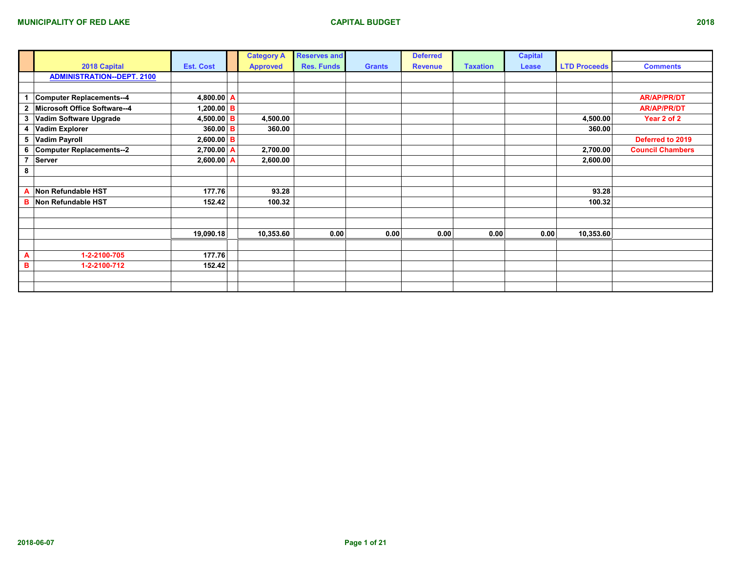|                |                                   |                  | <b>Category A</b> | <b>Reserves and</b> |               | <b>Deferred</b> |                 | <b>Capital</b> |                     |                         |
|----------------|-----------------------------------|------------------|-------------------|---------------------|---------------|-----------------|-----------------|----------------|---------------------|-------------------------|
|                | 2018 Capital                      | <b>Est. Cost</b> | <b>Approved</b>   | <b>Res. Funds</b>   | <b>Grants</b> | <b>Revenue</b>  | <b>Taxation</b> | Lease          | <b>LTD Proceeds</b> | <b>Comments</b>         |
|                | <b>ADMINISTRATION--DEPT. 2100</b> |                  |                   |                     |               |                 |                 |                |                     |                         |
|                |                                   |                  |                   |                     |               |                 |                 |                |                     |                         |
|                | <b>Computer Replacements--4</b>   | 4,800.00 A       |                   |                     |               |                 |                 |                |                     | <b>AR/AP/PR/DT</b>      |
| $\overline{2}$ | Microsoft Office Software--4      | 1,200.00 B       |                   |                     |               |                 |                 |                |                     | <b>AR/AP/PR/DT</b>      |
| 3              | Vadim Software Upgrade            | 4,500.00 B       | 4,500.00          |                     |               |                 |                 |                | 4,500.00            | Year 2 of 2             |
| 4              | <b>Vadim Explorer</b>             | $360.00 \mid B$  | 360.00            |                     |               |                 |                 |                | 360.00              |                         |
| 5              | <b>Vadim Payroll</b>              | $2,600.00$ B     |                   |                     |               |                 |                 |                |                     | Deferred to 2019        |
| 6              | Computer Replacements--2          | $2,700.00$ A     | 2,700.00          |                     |               |                 |                 |                | 2,700.00            | <b>Council Chambers</b> |
| $\overline{ }$ | Server                            | $2,600.00$ A     | 2,600.00          |                     |               |                 |                 |                | 2,600.00            |                         |
| 8              |                                   |                  |                   |                     |               |                 |                 |                |                     |                         |
|                |                                   |                  |                   |                     |               |                 |                 |                |                     |                         |
|                | Non Refundable HST                | 177.76           | 93.28             |                     |               |                 |                 |                | 93.28               |                         |
| B              | Non Refundable HST                | 152.42           | 100.32            |                     |               |                 |                 |                | 100.32              |                         |
|                |                                   |                  |                   |                     |               |                 |                 |                |                     |                         |
|                |                                   |                  |                   |                     |               |                 |                 |                |                     |                         |
|                |                                   | 19,090.18        | 10,353.60         | 0.00                | 0.00          | 0.00            | 0.00            | 0.00           | 10,353.60           |                         |
|                |                                   |                  |                   |                     |               |                 |                 |                |                     |                         |
| A              | 1-2-2100-705                      | 177.76           |                   |                     |               |                 |                 |                |                     |                         |
| в              | 1-2-2100-712                      | 152.42           |                   |                     |               |                 |                 |                |                     |                         |
|                |                                   |                  |                   |                     |               |                 |                 |                |                     |                         |
|                |                                   |                  |                   |                     |               |                 |                 |                |                     |                         |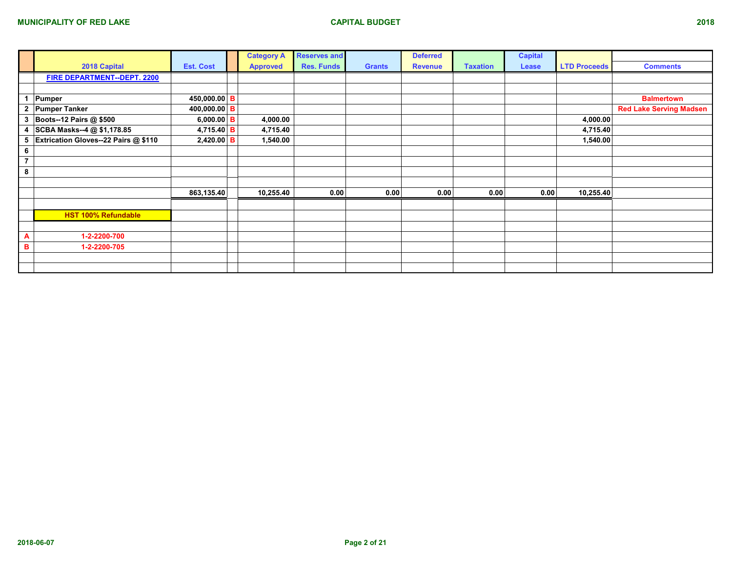|                |                                      |                   | <b>Category A</b> | <b>Reserves and</b> |               | <b>Deferred</b> |                 | <b>Capital</b> |                     |                                |
|----------------|--------------------------------------|-------------------|-------------------|---------------------|---------------|-----------------|-----------------|----------------|---------------------|--------------------------------|
|                | 2018 Capital                         | <b>Est. Cost</b>  | <b>Approved</b>   | <b>Res. Funds</b>   | <b>Grants</b> | <b>Revenue</b>  | <b>Taxation</b> | Lease          | <b>LTD Proceeds</b> | <b>Comments</b>                |
|                | FIRE DEPARTMENT--DEPT. 2200          |                   |                   |                     |               |                 |                 |                |                     |                                |
|                |                                      |                   |                   |                     |               |                 |                 |                |                     |                                |
|                | Pumper                               | 450,000.00 B      |                   |                     |               |                 |                 |                |                     | <b>Balmertown</b>              |
| $\overline{2}$ | <b>Pumper Tanker</b>                 | 400,000.00 B      |                   |                     |               |                 |                 |                |                     | <b>Red Lake Serving Madsen</b> |
| 3              | <b>Boots--12 Pairs @ \$500</b>       | 6,000.00 B        | 4,000.00          |                     |               |                 |                 |                | 4,000.00            |                                |
|                | 4 SCBA Masks--4 @ \$1,178.85         | 4,715.40 <b>B</b> | 4,715.40          |                     |               |                 |                 |                | 4,715.40            |                                |
| 5              | Extrication Gloves--22 Pairs @ \$110 | $2,420.00$ B      | 1,540.00          |                     |               |                 |                 |                | 1,540.00            |                                |
| 6              |                                      |                   |                   |                     |               |                 |                 |                |                     |                                |
| $\overline{7}$ |                                      |                   |                   |                     |               |                 |                 |                |                     |                                |
| 8              |                                      |                   |                   |                     |               |                 |                 |                |                     |                                |
|                |                                      |                   |                   |                     |               |                 |                 |                |                     |                                |
|                |                                      | 863,135.40        | 10,255.40         | 0.00                | 0.00          | 0.00            | 0.00            | 0.00           | 10,255.40           |                                |
|                |                                      |                   |                   |                     |               |                 |                 |                |                     |                                |
|                | <b>HST 100% Refundable</b>           |                   |                   |                     |               |                 |                 |                |                     |                                |
|                |                                      |                   |                   |                     |               |                 |                 |                |                     |                                |
| A              | 1-2-2200-700                         |                   |                   |                     |               |                 |                 |                |                     |                                |
| B              | 1-2-2200-705                         |                   |                   |                     |               |                 |                 |                |                     |                                |
|                |                                      |                   |                   |                     |               |                 |                 |                |                     |                                |
|                |                                      |                   |                   |                     |               |                 |                 |                |                     |                                |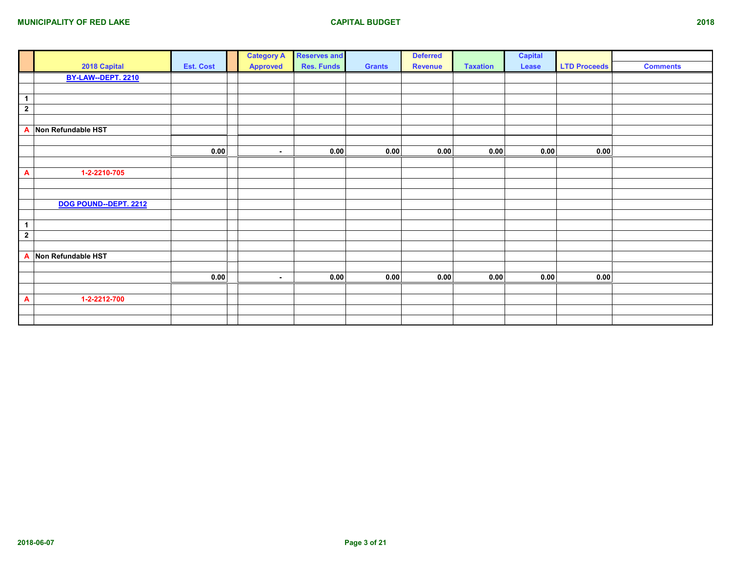|                         |                       |                  | <b>Category A</b> | <b>Reserves and</b> |               | <b>Deferred</b> |                 | <b>Capital</b> |                     |                 |
|-------------------------|-----------------------|------------------|-------------------|---------------------|---------------|-----------------|-----------------|----------------|---------------------|-----------------|
|                         | 2018 Capital          | <b>Est. Cost</b> | <b>Approved</b>   | <b>Res. Funds</b>   | <b>Grants</b> | <b>Revenue</b>  | <b>Taxation</b> | Lease          | <b>LTD Proceeds</b> | <b>Comments</b> |
|                         | BY-LAW--DEPT. 2210    |                  |                   |                     |               |                 |                 |                |                     |                 |
|                         |                       |                  |                   |                     |               |                 |                 |                |                     |                 |
| $\mathbf{1}$            |                       |                  |                   |                     |               |                 |                 |                |                     |                 |
| $\overline{\mathbf{2}}$ |                       |                  |                   |                     |               |                 |                 |                |                     |                 |
|                         |                       |                  |                   |                     |               |                 |                 |                |                     |                 |
| A                       | Non Refundable HST    |                  |                   |                     |               |                 |                 |                |                     |                 |
|                         |                       |                  |                   |                     |               |                 |                 |                |                     |                 |
|                         |                       | 0.00             | $\sim$            | 0.00                | 0.00          | 0.00            | 0.00            | 0.00           | 0.00                |                 |
|                         |                       |                  |                   |                     |               |                 |                 |                |                     |                 |
| A                       | 1-2-2210-705          |                  |                   |                     |               |                 |                 |                |                     |                 |
|                         |                       |                  |                   |                     |               |                 |                 |                |                     |                 |
|                         |                       |                  |                   |                     |               |                 |                 |                |                     |                 |
|                         | DOG POUND--DEPT. 2212 |                  |                   |                     |               |                 |                 |                |                     |                 |
|                         |                       |                  |                   |                     |               |                 |                 |                |                     |                 |
| $\blacktriangleleft$    |                       |                  |                   |                     |               |                 |                 |                |                     |                 |
| $\overline{2}$          |                       |                  |                   |                     |               |                 |                 |                |                     |                 |
|                         |                       |                  |                   |                     |               |                 |                 |                |                     |                 |
| A                       | Non Refundable HST    |                  |                   |                     |               |                 |                 |                |                     |                 |
|                         |                       |                  |                   |                     |               |                 |                 |                |                     |                 |
|                         |                       | 0.00             | $\sim$            | 0.00                | 0.00          | 0.00            | 0.00            | 0.00           | 0.00                |                 |
|                         |                       |                  |                   |                     |               |                 |                 |                |                     |                 |
| $\mathbf{A}$            | 1-2-2212-700          |                  |                   |                     |               |                 |                 |                |                     |                 |
|                         |                       |                  |                   |                     |               |                 |                 |                |                     |                 |
|                         |                       |                  |                   |                     |               |                 |                 |                |                     |                 |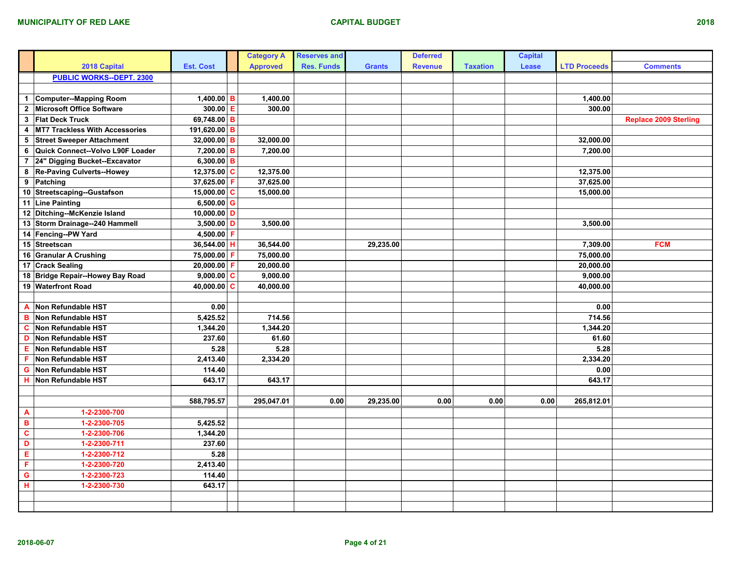|                         |                                       |                  |             | <b>Category A</b> | <b>Reserves and</b> |               | <b>Deferred</b> |                 | <b>Capital</b> |                     |                              |
|-------------------------|---------------------------------------|------------------|-------------|-------------------|---------------------|---------------|-----------------|-----------------|----------------|---------------------|------------------------------|
|                         | 2018 Capital                          | <b>Est. Cost</b> |             | <b>Approved</b>   | <b>Res. Funds</b>   | <b>Grants</b> | <b>Revenue</b>  | <b>Taxation</b> | Lease          | <b>LTD Proceeds</b> | <b>Comments</b>              |
|                         | <b>PUBLIC WORKS--DEPT. 2300</b>       |                  |             |                   |                     |               |                 |                 |                |                     |                              |
|                         |                                       |                  |             |                   |                     |               |                 |                 |                |                     |                              |
| $\mathbf{1}$            | Computer--Mapping Room                | 1,400.00 B       |             | 1,400.00          |                     |               |                 |                 |                | 1,400.00            |                              |
| $\overline{2}$          | Microsoft Office Software             | $300.00$ E       |             | 300.00            |                     |               |                 |                 |                | 300.00              |                              |
| $\mathbf{3}$            | <b>Flat Deck Truck</b>                | $69,748.00$ B    |             |                   |                     |               |                 |                 |                |                     | <b>Replace 2009 Sterling</b> |
| 4                       | <b>MT7 Trackless With Accessories</b> | 191,620.00 B     |             |                   |                     |               |                 |                 |                |                     |                              |
| 5                       | <b>Street Sweeper Attachment</b>      | $32,000.00$ B    |             | 32,000.00         |                     |               |                 |                 |                | 32,000.00           |                              |
| 6                       | Quick Connect--Volvo L90F Loader      | 7,200.00         | в           | 7,200.00          |                     |               |                 |                 |                | 7,200.00            |                              |
| $\overline{7}$          | 24" Digging Bucket--Excavator         | 6,300.00 B       |             |                   |                     |               |                 |                 |                |                     |                              |
| 8                       | Re-Paving Culverts--Howey             | 12,375.00 $C$    |             | 12,375.00         |                     |               |                 |                 |                | 12,375.00           |                              |
| 9                       | Patching                              | 37,625.00        | F           | 37,625.00         |                     |               |                 |                 |                | 37,625.00           |                              |
|                         | 10 Streetscaping--Gustafson           | $15,000.00$ C    |             | 15,000.00         |                     |               |                 |                 |                | 15,000.00           |                              |
|                         | 11 Line Painting                      | $6,500.00$ G     |             |                   |                     |               |                 |                 |                |                     |                              |
|                         | 12 Ditching--McKenzie Island          | 10,000.00 D      |             |                   |                     |               |                 |                 |                |                     |                              |
|                         | 13 Storm Drainage--240 Hammell        | 3,500.00 D       |             | 3,500.00          |                     |               |                 |                 |                | 3,500.00            |                              |
|                         | 14 Fencing--PW Yard                   | $4,500.00$ F     |             |                   |                     |               |                 |                 |                |                     |                              |
|                         | 15 Streetscan                         | 36,544.00        | H           | 36,544.00         |                     | 29,235.00     |                 |                 |                | 7,309.00            | <b>FCM</b>                   |
|                         | 16 Granular A Crushing                | 75,000.00 F      |             | 75,000.00         |                     |               |                 |                 |                | 75,000.00           |                              |
|                         | 17 Crack Sealing                      | 20,000.00 F      |             | 20,000.00         |                     |               |                 |                 |                | 20,000.00           |                              |
|                         | 18 Bridge Repair--Howey Bay Road      | $9,000.00$ C     |             | 9,000.00          |                     |               |                 |                 |                | 9,000.00            |                              |
|                         | 19 Waterfront Road                    | 40,000.00        | $\mathbf c$ | 40,000.00         |                     |               |                 |                 |                | 40,000.00           |                              |
|                         |                                       |                  |             |                   |                     |               |                 |                 |                |                     |                              |
| $\mathbf{A}$            | Non Refundable HST                    | 0.00             |             |                   |                     |               |                 |                 |                | 0.00                |                              |
| в                       | Non Refundable HST                    | 5,425.52         |             | 714.56            |                     |               |                 |                 |                | 714.56              |                              |
| C                       | Non Refundable HST                    | 1,344.20         |             | 1,344.20          |                     |               |                 |                 |                | 1,344.20            |                              |
| D                       | Non Refundable HST                    | 237.60           |             | 61.60             |                     |               |                 |                 |                | 61.60               |                              |
| Е                       | Non Refundable HST                    | 5.28             |             | 5.28              |                     |               |                 |                 |                | 5.28                |                              |
| F                       | Non Refundable HST                    | 2,413.40         |             | 2,334.20          |                     |               |                 |                 |                | 2,334.20            |                              |
| G                       | Non Refundable HST                    | 114.40           |             |                   |                     |               |                 |                 |                | 0.00                |                              |
|                         | <b>H</b> Non Refundable HST           | 643.17           |             | 643.17            |                     |               |                 |                 |                | 643.17              |                              |
|                         |                                       |                  |             |                   |                     |               |                 |                 |                |                     |                              |
|                         |                                       | 588,795.57       |             | 295,047.01        | 0.00                | 29,235.00     | 0.00            | 0.00            | 0.00           | 265,812.01          |                              |
| A                       | 1-2-2300-700                          |                  |             |                   |                     |               |                 |                 |                |                     |                              |
| $\, {\bf B} \,$         | 1-2-2300-705                          | 5,425.52         |             |                   |                     |               |                 |                 |                |                     |                              |
| $\overline{\mathbf{c}}$ | 1-2-2300-706                          | 1,344.20         |             |                   |                     |               |                 |                 |                |                     |                              |
| D                       | 1-2-2300-711                          | 237.60           |             |                   |                     |               |                 |                 |                |                     |                              |
| Е                       | 1-2-2300-712                          | 5.28             |             |                   |                     |               |                 |                 |                |                     |                              |
| $\overline{\mathbf{F}}$ | 1-2-2300-720                          | 2,413.40         |             |                   |                     |               |                 |                 |                |                     |                              |
| $\mathbf G$             | 1-2-2300-723                          | 114.40           |             |                   |                     |               |                 |                 |                |                     |                              |
| н                       | 1-2-2300-730                          | 643.17           |             |                   |                     |               |                 |                 |                |                     |                              |
|                         |                                       |                  |             |                   |                     |               |                 |                 |                |                     |                              |
|                         |                                       |                  |             |                   |                     |               |                 |                 |                |                     |                              |
|                         |                                       |                  |             |                   |                     |               |                 |                 |                |                     |                              |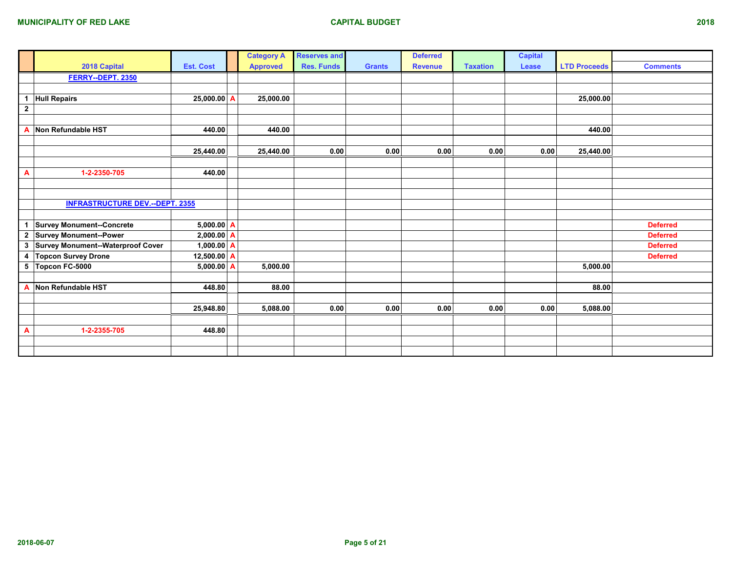|                         |                                        |                  | <b>Category A</b> | <b>Reserves and</b> |               | <b>Deferred</b> |                 | <b>Capital</b> |                     |                 |
|-------------------------|----------------------------------------|------------------|-------------------|---------------------|---------------|-----------------|-----------------|----------------|---------------------|-----------------|
|                         | 2018 Capital                           | <b>Est. Cost</b> | <b>Approved</b>   | <b>Res. Funds</b>   | <b>Grants</b> | <b>Revenue</b>  | <b>Taxation</b> | Lease          | <b>LTD Proceeds</b> | <b>Comments</b> |
|                         | FERRY--DEPT. 2350                      |                  |                   |                     |               |                 |                 |                |                     |                 |
|                         |                                        |                  |                   |                     |               |                 |                 |                |                     |                 |
| $\mathbf{1}$            | <b>Hull Repairs</b>                    | $25,000.00$ A    | 25,000.00         |                     |               |                 |                 |                | 25,000.00           |                 |
| $\overline{2}$          |                                        |                  |                   |                     |               |                 |                 |                |                     |                 |
|                         |                                        |                  |                   |                     |               |                 |                 |                |                     |                 |
| A                       | Non Refundable HST                     | 440.00           | 440.00            |                     |               |                 |                 |                | 440.00              |                 |
|                         |                                        |                  |                   |                     |               |                 |                 |                |                     |                 |
|                         |                                        | 25,440.00        | 25,440.00         | 0.00                | 0.00          | 0.00            | 0.00            | 0.00           | 25,440.00           |                 |
|                         |                                        |                  |                   |                     |               |                 |                 |                |                     |                 |
| A                       | 1-2-2350-705                           | 440.00           |                   |                     |               |                 |                 |                |                     |                 |
|                         |                                        |                  |                   |                     |               |                 |                 |                |                     |                 |
|                         |                                        |                  |                   |                     |               |                 |                 |                |                     |                 |
|                         | <b>INFRASTRUCTURE DEV.--DEPT. 2355</b> |                  |                   |                     |               |                 |                 |                |                     |                 |
|                         |                                        |                  |                   |                     |               |                 |                 |                |                     |                 |
| $\mathbf{1}$            | <b>Survey Monument--Concrete</b>       | 5,000.00 A       |                   |                     |               |                 |                 |                |                     | <b>Deferred</b> |
| $\overline{\mathbf{2}}$ | <b>Survey Monument--Power</b>          | $2,000.00$ A     |                   |                     |               |                 |                 |                |                     | <b>Deferred</b> |
| $\mathbf{3}$            | Survey Monument--Waterproof Cover      | 1,000.00 $A$     |                   |                     |               |                 |                 |                |                     | <b>Deferred</b> |
| 4                       | <b>Topcon Survey Drone</b>             | 12,500.00 A      |                   |                     |               |                 |                 |                |                     | <b>Deferred</b> |
| 5                       | Topcon FC-5000                         | $5,000.00$ A     | 5,000.00          |                     |               |                 |                 |                | 5,000.00            |                 |
|                         |                                        |                  |                   |                     |               |                 |                 |                |                     |                 |
| A                       | Non Refundable HST                     | 448.80           | 88.00             |                     |               |                 |                 |                | 88.00               |                 |
|                         |                                        |                  |                   |                     |               |                 |                 |                |                     |                 |
|                         |                                        | 25,948.80        | 5,088.00          | 0.00                | 0.00          | 0.00            | 0.00            | 0.00           | 5,088.00            |                 |
|                         |                                        |                  |                   |                     |               |                 |                 |                |                     |                 |
| A                       | 1-2-2355-705                           | 448.80           |                   |                     |               |                 |                 |                |                     |                 |
|                         |                                        |                  |                   |                     |               |                 |                 |                |                     |                 |
|                         |                                        |                  |                   |                     |               |                 |                 |                |                     |                 |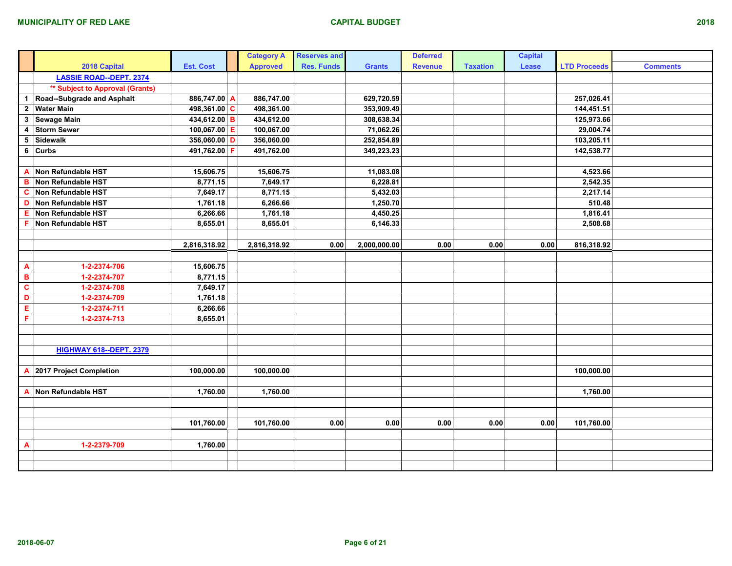|                         |                                        |                  |   | <b>Category A</b> | <b>Reserves and</b> |               | <b>Deferred</b> |                 | <b>Capital</b> |                     |                 |
|-------------------------|----------------------------------------|------------------|---|-------------------|---------------------|---------------|-----------------|-----------------|----------------|---------------------|-----------------|
|                         | 2018 Capital                           | <b>Est. Cost</b> |   | <b>Approved</b>   | <b>Res. Funds</b>   | <b>Grants</b> | <b>Revenue</b>  | <b>Taxation</b> | Lease          | <b>LTD Proceeds</b> | <b>Comments</b> |
|                         | <b>LASSIE ROAD--DEPT. 2374</b>         |                  |   |                   |                     |               |                 |                 |                |                     |                 |
|                         | <b>** Subject to Approval (Grants)</b> |                  |   |                   |                     |               |                 |                 |                |                     |                 |
| $\mathbf{1}$            | Road--Subgrade and Asphalt             | 886,747.00 A     |   | 886,747.00        |                     | 629,720.59    |                 |                 |                | 257,026.41          |                 |
| $\overline{2}$          | <b>Water Main</b>                      | 498,361.00 C     |   | 498,361.00        |                     | 353,909.49    |                 |                 |                | 144,451.51          |                 |
|                         | 3 Sewage Main                          | 434,612.00 B     |   | 434,612.00        |                     | 308,638.34    |                 |                 |                | 125,973.66          |                 |
| 4                       | <b>Storm Sewer</b>                     | 100,067.00 E     |   | 100,067.00        |                     | 71,062.26     |                 |                 |                | 29,004.74           |                 |
| $5\phantom{a}$          | Sidewalk                               | $356,060.00$ D   |   | 356,060.00        |                     | 252,854.89    |                 |                 |                | 103,205.11          |                 |
| 6                       | <b>Curbs</b>                           | 491,762.00       | F | 491,762.00        |                     | 349,223.23    |                 |                 |                | 142,538.77          |                 |
|                         |                                        |                  |   |                   |                     |               |                 |                 |                |                     |                 |
| A                       | Non Refundable HST                     | 15,606.75        |   | 15,606.75         |                     | 11,083.08     |                 |                 |                | 4,523.66            |                 |
| $\blacksquare$          | Non Refundable HST                     | 8,771.15         |   | 7,649.17          |                     | 6,228.81      |                 |                 |                | 2,542.35            |                 |
| $\mathbf{c}$            | Non Refundable HST                     | 7,649.17         |   | 8,771.15          |                     | 5,432.03      |                 |                 |                | 2,217.14            |                 |
| D                       | Non Refundable HST                     | 1,761.18         |   | 6,266.66          |                     | 1,250.70      |                 |                 |                | 510.48              |                 |
| Ε                       | Non Refundable HST                     | 6,266.66         |   | 1,761.18          |                     | 4,450.25      |                 |                 |                | 1,816.41            |                 |
| F                       | Non Refundable HST                     | 8,655.01         |   | 8,655.01          |                     | 6,146.33      |                 |                 |                | 2,508.68            |                 |
|                         |                                        |                  |   |                   |                     |               |                 |                 |                |                     |                 |
|                         |                                        | 2,816,318.92     |   | 2,816,318.92      | 0.00                | 2,000,000.00  | 0.00            | 0.00            | 0.00           | 816,318.92          |                 |
|                         |                                        |                  |   |                   |                     |               |                 |                 |                |                     |                 |
| $\overline{\mathbf{A}}$ | 1-2-2374-706                           | 15,606.75        |   |                   |                     |               |                 |                 |                |                     |                 |
| $\overline{\mathbf{B}}$ | 1-2-2374-707                           | 8,771.15         |   |                   |                     |               |                 |                 |                |                     |                 |
| $\overline{c}$          | 1-2-2374-708                           | 7,649.17         |   |                   |                     |               |                 |                 |                |                     |                 |
| D                       | 1-2-2374-709                           | 1,761.18         |   |                   |                     |               |                 |                 |                |                     |                 |
| Ε                       | 1-2-2374-711                           | 6,266.66         |   |                   |                     |               |                 |                 |                |                     |                 |
| F                       | 1-2-2374-713                           | 8,655.01         |   |                   |                     |               |                 |                 |                |                     |                 |
|                         |                                        |                  |   |                   |                     |               |                 |                 |                |                     |                 |
|                         |                                        |                  |   |                   |                     |               |                 |                 |                |                     |                 |
|                         | <b>HIGHWAY 618--DEPT. 2379</b>         |                  |   |                   |                     |               |                 |                 |                |                     |                 |
|                         |                                        |                  |   |                   |                     |               |                 |                 |                |                     |                 |
| $\mathbf{A}$            | 2017 Project Completion                | 100,000.00       |   | 100,000.00        |                     |               |                 |                 |                | 100,000.00          |                 |
|                         |                                        |                  |   |                   |                     |               |                 |                 |                |                     |                 |
| $\overline{A}$          | Non Refundable HST                     | 1,760.00         |   | 1,760.00          |                     |               |                 |                 |                | 1,760.00            |                 |
|                         |                                        |                  |   |                   |                     |               |                 |                 |                |                     |                 |
|                         |                                        |                  |   |                   |                     |               |                 |                 |                |                     |                 |
|                         |                                        | 101,760.00       |   | 101,760.00        | 0.00                | 0.00          | 0.00            | 0.00            | 0.00           | 101,760.00          |                 |
|                         |                                        |                  |   |                   |                     |               |                 |                 |                |                     |                 |
| $\overline{A}$          | 1-2-2379-709                           | 1,760.00         |   |                   |                     |               |                 |                 |                |                     |                 |
|                         |                                        |                  |   |                   |                     |               |                 |                 |                |                     |                 |
|                         |                                        |                  |   |                   |                     |               |                 |                 |                |                     |                 |
|                         |                                        |                  |   |                   |                     |               |                 |                 |                |                     |                 |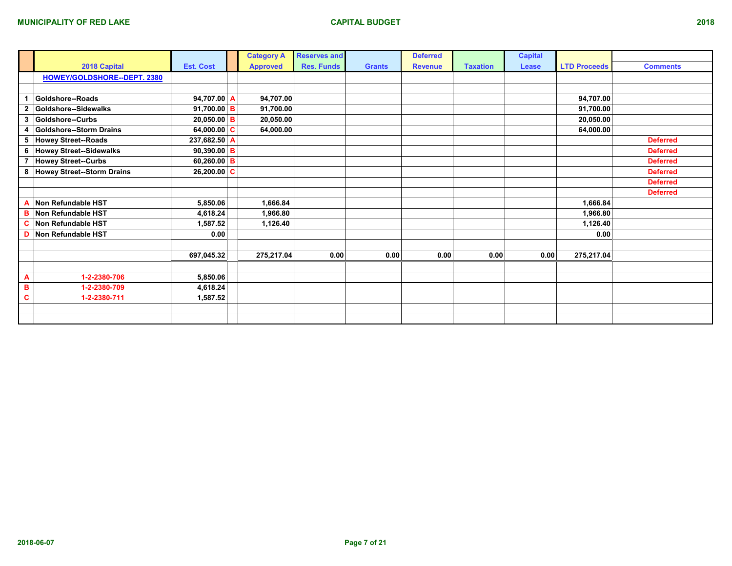|                |                                   |                  | <b>Category A</b> | <b>Reserves and</b> |               | <b>Deferred</b> |                 | <b>Capital</b> |                     |                 |
|----------------|-----------------------------------|------------------|-------------------|---------------------|---------------|-----------------|-----------------|----------------|---------------------|-----------------|
|                | 2018 Capital                      | <b>Est. Cost</b> | <b>Approved</b>   | <b>Res. Funds</b>   | <b>Grants</b> | <b>Revenue</b>  | <b>Taxation</b> | Lease          | <b>LTD Proceeds</b> | <b>Comments</b> |
|                | HOWEY/GOLDSHORE--DEPT. 2380       |                  |                   |                     |               |                 |                 |                |                     |                 |
|                |                                   |                  |                   |                     |               |                 |                 |                |                     |                 |
|                | Goldshore--Roads                  | 94,707.00 A      | 94,707.00         |                     |               |                 |                 |                | 94,707.00           |                 |
| $\overline{2}$ | Goldshore--Sidewalks              | 91,700.00 B      | 91,700.00         |                     |               |                 |                 |                | 91,700.00           |                 |
| 3              | Goldshore--Curbs                  | $20,050.00$ B    | 20,050.00         |                     |               |                 |                 |                | 20,050.00           |                 |
| 4              | Goldshore--Storm Drains           | 64,000.00 $ C $  | 64,000.00         |                     |               |                 |                 |                | 64,000.00           |                 |
| 5              | Howey Street--Roads               | 237,682.50 A     |                   |                     |               |                 |                 |                |                     | <b>Deferred</b> |
| 6              | <b>Howey Street--Sidewalks</b>    | 90,390.00 B      |                   |                     |               |                 |                 |                |                     | <b>Deferred</b> |
| $\overline{7}$ | <b>Howey Street--Curbs</b>        | 60,260.00 B      |                   |                     |               |                 |                 |                |                     | <b>Deferred</b> |
| 8              | <b>Howey Street--Storm Drains</b> | $26,200.00$ C    |                   |                     |               |                 |                 |                |                     | <b>Deferred</b> |
|                |                                   |                  |                   |                     |               |                 |                 |                |                     | <b>Deferred</b> |
|                |                                   |                  |                   |                     |               |                 |                 |                |                     | <b>Deferred</b> |
| Α              | Non Refundable HST                | 5,850.06         | 1,666.84          |                     |               |                 |                 |                | 1,666.84            |                 |
| в              | Non Refundable HST                | 4,618.24         | 1,966.80          |                     |               |                 |                 |                | 1,966.80            |                 |
| C              | Non Refundable HST                | 1,587.52         | 1,126.40          |                     |               |                 |                 |                | 1,126.40            |                 |
| D              | Non Refundable HST                | 0.00             |                   |                     |               |                 |                 |                | 0.00                |                 |
|                |                                   |                  |                   |                     |               |                 |                 |                |                     |                 |
|                |                                   | 697,045.32       | 275,217.04        | 0.00                | 0.00          | 0.00            | 0.00            | 0.00           | 275,217.04          |                 |
|                |                                   |                  |                   |                     |               |                 |                 |                |                     |                 |
| A              | 1-2-2380-706                      | 5,850.06         |                   |                     |               |                 |                 |                |                     |                 |
| $\mathbf B$    | 1-2-2380-709                      | 4,618.24         |                   |                     |               |                 |                 |                |                     |                 |
| C              | 1-2-2380-711                      | 1,587.52         |                   |                     |               |                 |                 |                |                     |                 |
|                |                                   |                  |                   |                     |               |                 |                 |                |                     |                 |
|                |                                   |                  |                   |                     |               |                 |                 |                |                     |                 |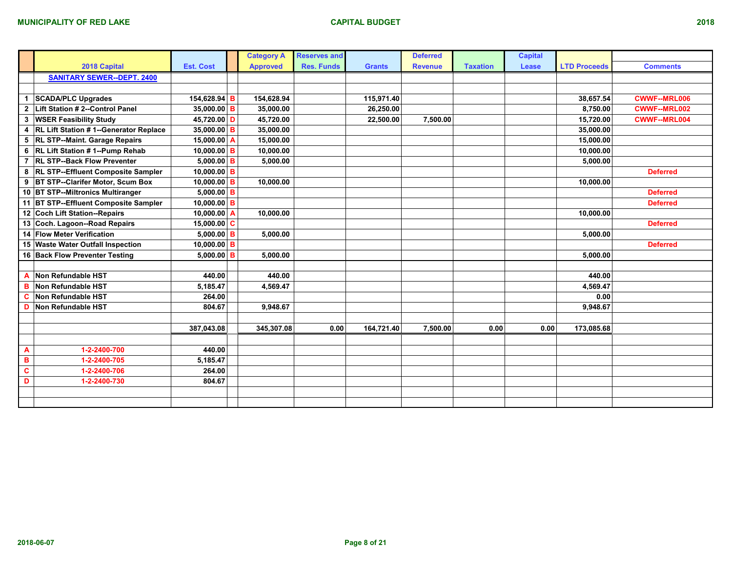|                         |                                           |                  |   | <b>Category A</b> | <b>Reserves and</b> |               | <b>Deferred</b> |                 | <b>Capital</b> |                     |                     |
|-------------------------|-------------------------------------------|------------------|---|-------------------|---------------------|---------------|-----------------|-----------------|----------------|---------------------|---------------------|
|                         | 2018 Capital                              | <b>Est. Cost</b> |   | <b>Approved</b>   | <b>Res. Funds</b>   | <b>Grants</b> | <b>Revenue</b>  | <b>Taxation</b> | Lease          | <b>LTD Proceeds</b> | <b>Comments</b>     |
|                         | <b>SANITARY SEWER--DEPT. 2400</b>         |                  |   |                   |                     |               |                 |                 |                |                     |                     |
|                         |                                           |                  |   |                   |                     |               |                 |                 |                |                     |                     |
| $\mathbf{1}$            | <b>SCADA/PLC Upgrades</b>                 | 154,628.94 B     |   | 154,628.94        |                     | 115,971.40    |                 |                 |                | 38,657.54           | <b>CWWF--MRL006</b> |
| $\overline{2}$          | Lift Station # 2--Control Panel           | 35,000.00 B      |   | 35,000.00         |                     | 26,250.00     |                 |                 |                | 8,750.00            | <b>CWWF--MRL002</b> |
| 3                       | <b>WSER Feasibility Study</b>             | 45,720.00 D      |   | 45,720.00         |                     | 22,500.00     | 7,500.00        |                 |                | 15,720.00           | <b>CWWF--MRL004</b> |
| $\overline{\mathbf{4}}$ | RL Lift Station # 1--Generator Replace    | $35,000.00$ B    |   | 35,000.00         |                     |               |                 |                 |                | 35,000.00           |                     |
|                         | 5 RL STP--Maint. Garage Repairs           | 15,000.00        | A | 15,000.00         |                     |               |                 |                 |                | 15,000.00           |                     |
|                         | 6 RL Lift Station #1--Pump Rehab          | $10,000.00$ B    |   | 10,000.00         |                     |               |                 |                 |                | 10,000.00           |                     |
|                         | 7 RL STP--Back Flow Preventer             | $5,000.00$ B     |   | 5,000.00          |                     |               |                 |                 |                | 5,000.00            |                     |
| 8                       | <b>RL STP--Effluent Composite Sampler</b> | $10,000.00$ B    |   |                   |                     |               |                 |                 |                |                     | <b>Deferred</b>     |
|                         | 9 BT STP--Clarifer Motor, Scum Box        | 10,000.00 B      |   | 10,000.00         |                     |               |                 |                 |                | 10,000.00           |                     |
|                         | 10 BT STP--Miltronics Multiranger         | $5,000.00$ B     |   |                   |                     |               |                 |                 |                |                     | <b>Deferred</b>     |
|                         | 11 BT STP--Effluent Composite Sampler     | 10,000.00 B      |   |                   |                     |               |                 |                 |                |                     | <b>Deferred</b>     |
|                         | 12 Coch Lift Station--Repairs             | 10,000.00        | A | 10,000.00         |                     |               |                 |                 |                | 10,000.00           |                     |
|                         | 13 Coch. Lagoon--Road Repairs             | 15,000.00 $ C $  |   |                   |                     |               |                 |                 |                |                     | <b>Deferred</b>     |
|                         | 14 Flow Meter Verification                | $5,000.00$ B     |   | 5,000.00          |                     |               |                 |                 |                | 5,000.00            |                     |
|                         | 15 Waste Water Outfall Inspection         | 10,000.00 B      |   |                   |                     |               |                 |                 |                |                     | <b>Deferred</b>     |
|                         | 16 Back Flow Preventer Testing            | $5,000.00$ B     |   | 5,000.00          |                     |               |                 |                 |                | 5,000.00            |                     |
|                         |                                           |                  |   |                   |                     |               |                 |                 |                |                     |                     |
| A                       | Non Refundable HST                        | 440.00           |   | 440.00            |                     |               |                 |                 |                | 440.00              |                     |
| B                       | Non Refundable HST                        | 5,185.47         |   | 4.569.47          |                     |               |                 |                 |                | 4,569.47            |                     |
| C                       | Non Refundable HST                        | 264.00           |   |                   |                     |               |                 |                 |                | 0.00                |                     |
| D                       | Non Refundable HST                        | 804.67           |   | 9,948.67          |                     |               |                 |                 |                | 9,948.67            |                     |
|                         |                                           |                  |   |                   |                     |               |                 |                 |                |                     |                     |
|                         |                                           | 387,043.08       |   | 345,307.08        | 0.00                | 164,721.40    | 7,500.00        | 0.00            | 0.00           | 173,085.68          |                     |
|                         |                                           |                  |   |                   |                     |               |                 |                 |                |                     |                     |
| A                       | 1-2-2400-700                              | 440.00           |   |                   |                     |               |                 |                 |                |                     |                     |
| $\, {\bf B}$            | 1-2-2400-705                              | 5,185.47         |   |                   |                     |               |                 |                 |                |                     |                     |
| $\overline{\mathbf{c}}$ | 1-2-2400-706                              | 264.00           |   |                   |                     |               |                 |                 |                |                     |                     |
| D                       | 1-2-2400-730                              | 804.67           |   |                   |                     |               |                 |                 |                |                     |                     |
|                         |                                           |                  |   |                   |                     |               |                 |                 |                |                     |                     |
|                         |                                           |                  |   |                   |                     |               |                 |                 |                |                     |                     |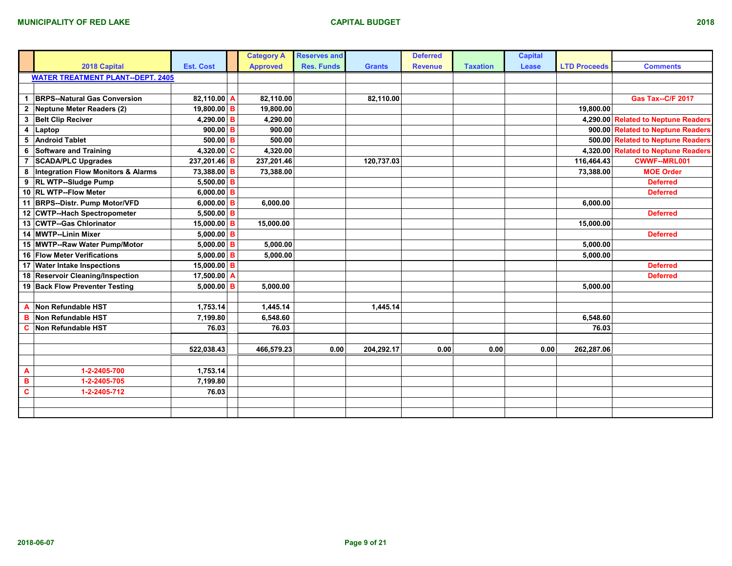|              |                                               |                  | <b>Category A</b> | <b>Reserves and</b> |               | <b>Deferred</b> |                 | <b>Capital</b> |                     |                                     |
|--------------|-----------------------------------------------|------------------|-------------------|---------------------|---------------|-----------------|-----------------|----------------|---------------------|-------------------------------------|
|              | 2018 Capital                                  | <b>Est. Cost</b> | <b>Approved</b>   | <b>Res. Funds</b>   | <b>Grants</b> | <b>Revenue</b>  | <b>Taxation</b> | Lease          | <b>LTD Proceeds</b> | <b>Comments</b>                     |
|              | <b>WATER TREATMENT PLANT--DEPT. 2405</b>      |                  |                   |                     |               |                 |                 |                |                     |                                     |
|              |                                               |                  |                   |                     |               |                 |                 |                |                     |                                     |
| -1           | <b>BRPS--Natural Gas Conversion</b>           | 82,110.00 A      | 82,110.00         |                     | 82,110.00     |                 |                 |                |                     | <b>Gas Tax--C/F 2017</b>            |
| $\mathbf{2}$ | Neptune Meter Readers (2)                     | $19,800.00$ B    | 19,800.00         |                     |               |                 |                 |                | 19,800.00           |                                     |
| 3            | <b>Belt Clip Reciver</b>                      | 4,290.00 B       | 4,290.00          |                     |               |                 |                 |                |                     | 4,290.00 Related to Neptune Readers |
| 4            | Laptop                                        | $900.00$ B       | 900.00            |                     |               |                 |                 |                |                     | 900.00 Related to Neptune Readers   |
| 5            | <b>Android Tablet</b>                         | $500.00$ B       | 500.00            |                     |               |                 |                 |                |                     | 500.00 Related to Neptune Readers   |
| 6            | Software and Training                         | 4,320.00 $C$     | 4,320.00          |                     |               |                 |                 |                |                     | 4,320.00 Related to Neptune Readers |
| 7            | <b>SCADA/PLC Upgrades</b>                     | 237,201.46 B     | 237,201.46        |                     | 120.737.03    |                 |                 |                | 116,464.43          | <b>CWWF--MRL001</b>                 |
| 8            | <b>Integration Flow Monitors &amp; Alarms</b> | 73,388.00 B      | 73,388.00         |                     |               |                 |                 |                | 73,388.00           | <b>MOE Order</b>                    |
| 9            | <b>RL WTP--Sludge Pump</b>                    | 5,500.00 B       |                   |                     |               |                 |                 |                |                     | <b>Deferred</b>                     |
|              | 10 RL WTP--Flow Meter                         | 6,000.00 B       |                   |                     |               |                 |                 |                |                     | <b>Deferred</b>                     |
|              | 11 BRPS--Distr. Pump Motor/VFD                | $6,000.00$ B     | 6,000.00          |                     |               |                 |                 |                | 6,000.00            |                                     |
|              | 12 CWTP--Hach Spectropometer                  | 5,500.00 B       |                   |                     |               |                 |                 |                |                     | <b>Deferred</b>                     |
|              | 13 CWTP--Gas Chlorinator                      | $15,000.00$ B    | 15,000.00         |                     |               |                 |                 |                | 15,000.00           |                                     |
|              | 14 MWTP--Linin Mixer                          | $5,000.00$ B     |                   |                     |               |                 |                 |                |                     | <b>Deferred</b>                     |
|              | 15 MWTP--Raw Water Pump/Motor                 | $5,000.00$ B     | 5,000.00          |                     |               |                 |                 |                | 5,000.00            |                                     |
|              | 16 Flow Meter Verifications                   | $5,000.00$ B     | 5,000.00          |                     |               |                 |                 |                | 5.000.00            |                                     |
|              | 17 Water Intake Inspections                   | 15,000.00 B      |                   |                     |               |                 |                 |                |                     | <b>Deferred</b>                     |
|              | 18 Reservoir Cleaning/Inspection              | 17,500.00 A      |                   |                     |               |                 |                 |                |                     | <b>Deferred</b>                     |
|              | 19 Back Flow Preventer Testing                | $5,000.00$ B     | 5,000.00          |                     |               |                 |                 |                | 5,000.00            |                                     |
|              |                                               |                  |                   |                     |               |                 |                 |                |                     |                                     |
| Α            | Non Refundable HST                            | 1,753.14         | 1,445.14          |                     | 1,445.14      |                 |                 |                |                     |                                     |
| в            | Non Refundable HST                            | 7,199.80         | 6,548.60          |                     |               |                 |                 |                | 6,548.60            |                                     |
| C            | Non Refundable HST                            | 76.03            | 76.03             |                     |               |                 |                 |                | 76.03               |                                     |
|              |                                               |                  |                   |                     |               |                 |                 |                |                     |                                     |
|              |                                               | 522,038.43       | 466,579.23        | 0.00                | 204,292.17    | 0.00            | 0.00            | 0.00           | 262,287.06          |                                     |
|              |                                               |                  |                   |                     |               |                 |                 |                |                     |                                     |
| A            | 1-2-2405-700                                  | 1,753.14         |                   |                     |               |                 |                 |                |                     |                                     |
| в            | 1-2-2405-705                                  | 7,199.80         |                   |                     |               |                 |                 |                |                     |                                     |
| $\mathbf{C}$ | 1-2-2405-712                                  | 76.03            |                   |                     |               |                 |                 |                |                     |                                     |
|              |                                               |                  |                   |                     |               |                 |                 |                |                     |                                     |
|              |                                               |                  |                   |                     |               |                 |                 |                |                     |                                     |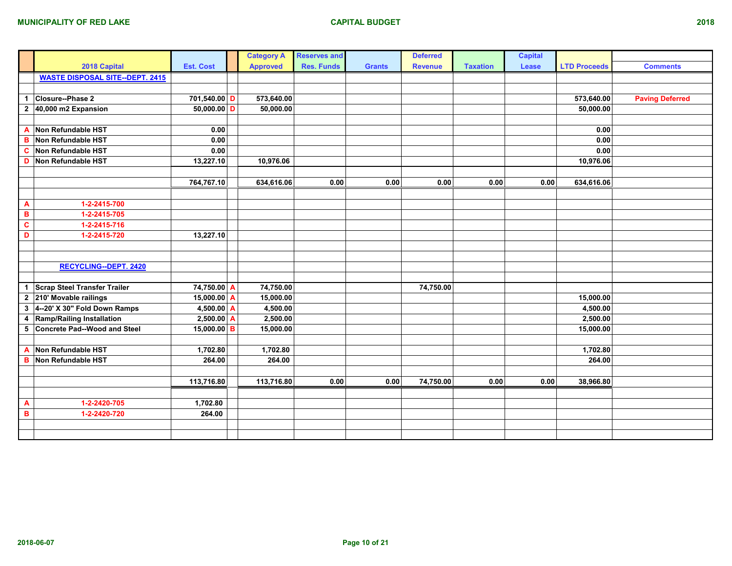|                |                                        |                  | <b>Category A</b> | <b>Reserves and</b> |               | <b>Deferred</b> |                 | <b>Capital</b> |                     |                        |
|----------------|----------------------------------------|------------------|-------------------|---------------------|---------------|-----------------|-----------------|----------------|---------------------|------------------------|
|                | 2018 Capital                           | <b>Est. Cost</b> | <b>Approved</b>   | <b>Res. Funds</b>   | <b>Grants</b> | <b>Revenue</b>  | <b>Taxation</b> | Lease          | <b>LTD Proceeds</b> | <b>Comments</b>        |
|                | <b>WASTE DISPOSAL SITE--DEPT. 2415</b> |                  |                   |                     |               |                 |                 |                |                     |                        |
|                |                                        |                  |                   |                     |               |                 |                 |                |                     |                        |
| $\mathbf{1}$   | Closure--Phase 2                       | 701,540.00 D     | 573,640.00        |                     |               |                 |                 |                | 573,640.00          | <b>Paving Deferred</b> |
| $\mathbf{2}$   | 40,000 m2 Expansion                    | $50,000.00$ D    | 50,000.00         |                     |               |                 |                 |                | 50,000.00           |                        |
|                |                                        |                  |                   |                     |               |                 |                 |                |                     |                        |
| $\overline{A}$ | Non Refundable HST                     | 0.00             |                   |                     |               |                 |                 |                | 0.00                |                        |
| B              | Non Refundable HST                     | 0.00             |                   |                     |               |                 |                 |                | 0.00                |                        |
| C              | Non Refundable HST                     | 0.00             |                   |                     |               |                 |                 |                | 0.00                |                        |
| D              | Non Refundable HST                     | 13,227.10        | 10,976.06         |                     |               |                 |                 |                | 10,976.06           |                        |
|                |                                        |                  |                   |                     |               |                 |                 |                |                     |                        |
|                |                                        | 764,767.10       | 634,616.06        | 0.00                | 0.00          | 0.00            | 0.00            | 0.00           | 634,616.06          |                        |
|                |                                        |                  |                   |                     |               |                 |                 |                |                     |                        |
| $\overline{A}$ | 1-2-2415-700                           |                  |                   |                     |               |                 |                 |                |                     |                        |
| в              | 1-2-2415-705                           |                  |                   |                     |               |                 |                 |                |                     |                        |
| $\mathbf c$    | 1-2-2415-716                           |                  |                   |                     |               |                 |                 |                |                     |                        |
| D              | 1-2-2415-720                           | 13,227.10        |                   |                     |               |                 |                 |                |                     |                        |
|                |                                        |                  |                   |                     |               |                 |                 |                |                     |                        |
|                |                                        |                  |                   |                     |               |                 |                 |                |                     |                        |
|                | <b>RECYCLING--DEPT. 2420</b>           |                  |                   |                     |               |                 |                 |                |                     |                        |
|                |                                        |                  |                   |                     |               |                 |                 |                |                     |                        |
| $\mathbf{1}$   | <b>Scrap Steel Transfer Trailer</b>    | 74,750.00 A      | 74,750.00         |                     |               | 74,750.00       |                 |                |                     |                        |
| $\mathbf{2}$   | 210' Movable railings                  | 15,000.00 $A$    | 15,000.00         |                     |               |                 |                 |                | 15,000.00           |                        |
| 3              | 4--20' X 30" Fold Down Ramps           | $4,500.00$ A     | 4,500.00          |                     |               |                 |                 |                | 4,500.00            |                        |
| 4              | Ramp/Railing Installation              | $2,500.00$ A     | 2,500.00          |                     |               |                 |                 |                | 2,500.00            |                        |
| 5              | Concrete Pad--Wood and Steel           | 15,000.00 B      | 15,000.00         |                     |               |                 |                 |                | 15,000.00           |                        |
|                |                                        |                  |                   |                     |               |                 |                 |                |                     |                        |
| $\overline{A}$ | Non Refundable HST                     | 1,702.80         | 1,702.80          |                     |               |                 |                 |                | 1,702.80            |                        |
| B              | Non Refundable HST                     | 264.00           | 264.00            |                     |               |                 |                 |                | 264.00              |                        |
|                |                                        |                  |                   |                     |               |                 |                 |                |                     |                        |
|                |                                        | 113,716.80       | 113,716.80        | 0.00                | 0.00          | 74,750.00       | 0.00            | 0.00           | 38,966.80           |                        |
|                |                                        |                  |                   |                     |               |                 |                 |                |                     |                        |
| $\mathbf{A}$   | 1-2-2420-705                           | 1,702.80         |                   |                     |               |                 |                 |                |                     |                        |
| $\mathbf B$    | 1-2-2420-720                           | 264.00           |                   |                     |               |                 |                 |                |                     |                        |
|                |                                        |                  |                   |                     |               |                 |                 |                |                     |                        |
|                |                                        |                  |                   |                     |               |                 |                 |                |                     |                        |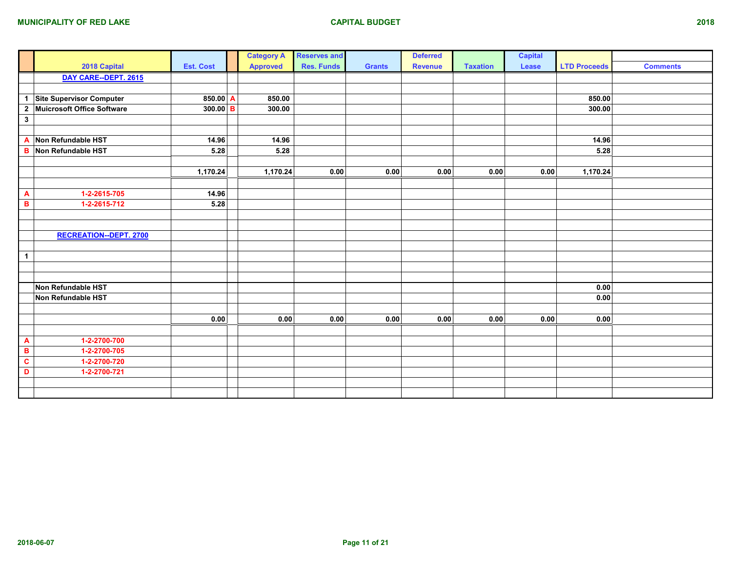|                |                                 |                  | <b>Category A</b> | <b>Reserves and</b> |               | <b>Deferred</b> |                 | <b>Capital</b> |                     |                 |
|----------------|---------------------------------|------------------|-------------------|---------------------|---------------|-----------------|-----------------|----------------|---------------------|-----------------|
|                | 2018 Capital                    | <b>Est. Cost</b> | <b>Approved</b>   | <b>Res. Funds</b>   | <b>Grants</b> | <b>Revenue</b>  | <b>Taxation</b> | Lease          | <b>LTD Proceeds</b> | <b>Comments</b> |
|                | DAY CARE--DEPT. 2615            |                  |                   |                     |               |                 |                 |                |                     |                 |
|                |                                 |                  |                   |                     |               |                 |                 |                |                     |                 |
| $\mathbf{1}$   | <b>Site Supervisor Computer</b> | 850.00 $A$       | 850.00            |                     |               |                 |                 |                | 850.00              |                 |
| $\overline{2}$ | Muicrosoft Office Software      | $300.00$ B       | 300.00            |                     |               |                 |                 |                | 300.00              |                 |
| $\mathbf{3}$   |                                 |                  |                   |                     |               |                 |                 |                |                     |                 |
|                |                                 |                  |                   |                     |               |                 |                 |                |                     |                 |
| A              | Non Refundable HST              | 14.96            | 14.96             |                     |               |                 |                 |                | 14.96               |                 |
| в              | Non Refundable HST              | 5.28             | 5.28              |                     |               |                 |                 |                | 5.28                |                 |
|                |                                 |                  |                   |                     |               |                 |                 |                |                     |                 |
|                |                                 | 1,170.24         | 1,170.24          | 0.00                | 0.00          | 0.00            | 0.00            | 0.00           | 1,170.24            |                 |
|                |                                 |                  |                   |                     |               |                 |                 |                |                     |                 |
| A              | 1-2-2615-705                    | 14.96            |                   |                     |               |                 |                 |                |                     |                 |
| B              | 1-2-2615-712                    | 5.28             |                   |                     |               |                 |                 |                |                     |                 |
|                |                                 |                  |                   |                     |               |                 |                 |                |                     |                 |
|                |                                 |                  |                   |                     |               |                 |                 |                |                     |                 |
|                | <b>RECREATION--DEPT. 2700</b>   |                  |                   |                     |               |                 |                 |                |                     |                 |
|                |                                 |                  |                   |                     |               |                 |                 |                |                     |                 |
| $\mathbf{1}$   |                                 |                  |                   |                     |               |                 |                 |                |                     |                 |
|                |                                 |                  |                   |                     |               |                 |                 |                |                     |                 |
|                |                                 |                  |                   |                     |               |                 |                 |                |                     |                 |
|                | Non Refundable HST              |                  |                   |                     |               |                 |                 |                | 0.00                |                 |
|                | Non Refundable HST              |                  |                   |                     |               |                 |                 |                | 0.00                |                 |
|                |                                 |                  |                   |                     |               |                 |                 |                |                     |                 |
|                |                                 | 0.00             | 0.00              | 0.00                | 0.00          | 0.00            | 0.00            | 0.00           | 0.00                |                 |
|                |                                 |                  |                   |                     |               |                 |                 |                |                     |                 |
| A              | 1-2-2700-700                    |                  |                   |                     |               |                 |                 |                |                     |                 |
| B              | 1-2-2700-705                    |                  |                   |                     |               |                 |                 |                |                     |                 |
| $\mathbf{c}$   | 1-2-2700-720                    |                  |                   |                     |               |                 |                 |                |                     |                 |
| D              | 1-2-2700-721                    |                  |                   |                     |               |                 |                 |                |                     |                 |
|                |                                 |                  |                   |                     |               |                 |                 |                |                     |                 |
|                |                                 |                  |                   |                     |               |                 |                 |                |                     |                 |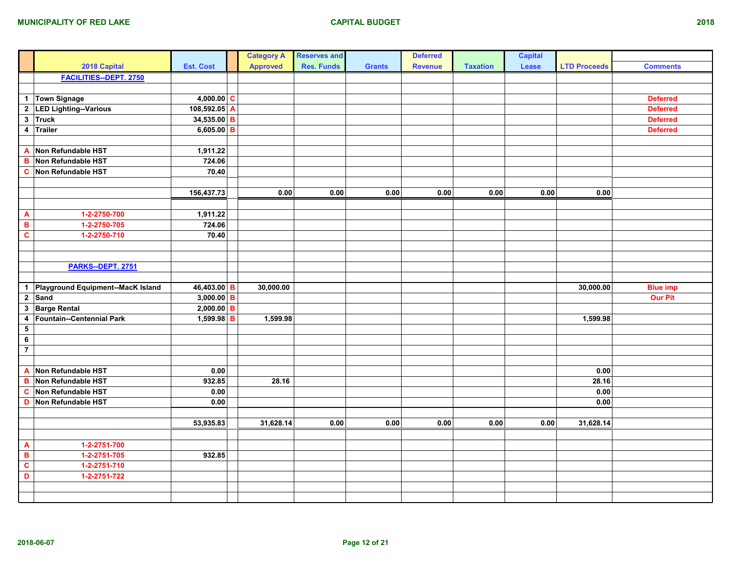|                           |                                     |                  | <b>Category A</b> | <b>Reserves and</b> |               | <b>Deferred</b> |                 | <b>Capital</b> |                     |                 |
|---------------------------|-------------------------------------|------------------|-------------------|---------------------|---------------|-----------------|-----------------|----------------|---------------------|-----------------|
|                           | 2018 Capital                        | <b>Est. Cost</b> | <b>Approved</b>   | <b>Res. Funds</b>   | <b>Grants</b> | <b>Revenue</b>  | <b>Taxation</b> | Lease          | <b>LTD Proceeds</b> | <b>Comments</b> |
|                           | <b>FACILITIES--DEPT. 2750</b>       |                  |                   |                     |               |                 |                 |                |                     |                 |
|                           |                                     |                  |                   |                     |               |                 |                 |                |                     |                 |
|                           | 1 Town Signage                      | $4,000.00$ C     |                   |                     |               |                 |                 |                |                     | <b>Deferred</b> |
|                           | 2 LED Lighting--Various             | 108,592.05 A     |                   |                     |               |                 |                 |                |                     | <b>Deferred</b> |
|                           | 3 Truck                             | 34,535.00 B      |                   |                     |               |                 |                 |                |                     | <b>Deferred</b> |
|                           | 4 Trailer                           | $6,605.00$ B     |                   |                     |               |                 |                 |                |                     | <b>Deferred</b> |
|                           |                                     |                  |                   |                     |               |                 |                 |                |                     |                 |
| $\mathbf{A}$              | Non Refundable HST                  | 1,911.22         |                   |                     |               |                 |                 |                |                     |                 |
| в                         | Non Refundable HST                  | 724.06           |                   |                     |               |                 |                 |                |                     |                 |
|                           | C Non Refundable HST                | 70.40            |                   |                     |               |                 |                 |                |                     |                 |
|                           |                                     |                  |                   |                     |               |                 |                 |                |                     |                 |
|                           |                                     | 156,437.73       | 0.00              | 0.00                | 0.00          | 0.00            | 0.00            | 0.00           | 0.00                |                 |
|                           |                                     |                  |                   |                     |               |                 |                 |                |                     |                 |
| $\boldsymbol{\mathsf{A}}$ | 1-2-2750-700                        | 1,911.22         |                   |                     |               |                 |                 |                |                     |                 |
| $\, {\bf B} \,$           | 1-2-2750-705                        | 724.06           |                   |                     |               |                 |                 |                |                     |                 |
| $\mathbf c$               | 1-2-2750-710                        | 70.40            |                   |                     |               |                 |                 |                |                     |                 |
|                           |                                     |                  |                   |                     |               |                 |                 |                |                     |                 |
|                           |                                     |                  |                   |                     |               |                 |                 |                |                     |                 |
|                           | PARKS--DEPT. 2751                   |                  |                   |                     |               |                 |                 |                |                     |                 |
|                           |                                     |                  |                   |                     |               |                 |                 |                |                     |                 |
|                           | 1 Playground Equipment--MacK Island | 46,403.00 B      | 30,000.00         |                     |               |                 |                 |                | 30,000.00           | <b>Blue imp</b> |
|                           | $2$ Sand                            | $3,000.00$ B     |                   |                     |               |                 |                 |                |                     | <b>Our Pit</b>  |
|                           | 3 Barge Rental                      | $2,000.00$ B     |                   |                     |               |                 |                 |                |                     |                 |
| 4                         | Fountain--Centennial Park           | $1,599.98$ B     | 1,599.98          |                     |               |                 |                 |                | 1,599.98            |                 |
| ${\bf 5}$                 |                                     |                  |                   |                     |               |                 |                 |                |                     |                 |
| $\bf 6$                   |                                     |                  |                   |                     |               |                 |                 |                |                     |                 |
| $\overline{7}$            |                                     |                  |                   |                     |               |                 |                 |                |                     |                 |
|                           |                                     |                  |                   |                     |               |                 |                 |                |                     |                 |
| $\mathbf{A}$              | Non Refundable HST                  | 0.00             |                   |                     |               |                 |                 |                | 0.00                |                 |
| $\, {\bf B}$              | Non Refundable HST                  | 932.85           | 28.16             |                     |               |                 |                 |                | 28.16               |                 |
| $\mathbf c$               | Non Refundable HST                  | 0.00             |                   |                     |               |                 |                 |                | 0.00                |                 |
|                           | D Non Refundable HST                | 0.00             |                   |                     |               |                 |                 |                | 0.00                |                 |
|                           |                                     |                  |                   |                     |               |                 |                 |                |                     |                 |
|                           |                                     | 53,935.83        | 31,628.14         | 0.00                | 0.00          | 0.00            | 0.00            | 0.00           | 31,628.14           |                 |
|                           |                                     |                  |                   |                     |               |                 |                 |                |                     |                 |
| $\boldsymbol{\mathsf{A}}$ | 1-2-2751-700                        |                  |                   |                     |               |                 |                 |                |                     |                 |
| $\, {\bf B}$              | 1-2-2751-705                        | 932.85           |                   |                     |               |                 |                 |                |                     |                 |
| $\overline{\mathbf{c}}$   | 1-2-2751-710                        |                  |                   |                     |               |                 |                 |                |                     |                 |
| D                         | 1-2-2751-722                        |                  |                   |                     |               |                 |                 |                |                     |                 |
|                           |                                     |                  |                   |                     |               |                 |                 |                |                     |                 |
|                           |                                     |                  |                   |                     |               |                 |                 |                |                     |                 |
|                           |                                     |                  |                   |                     |               |                 |                 |                |                     |                 |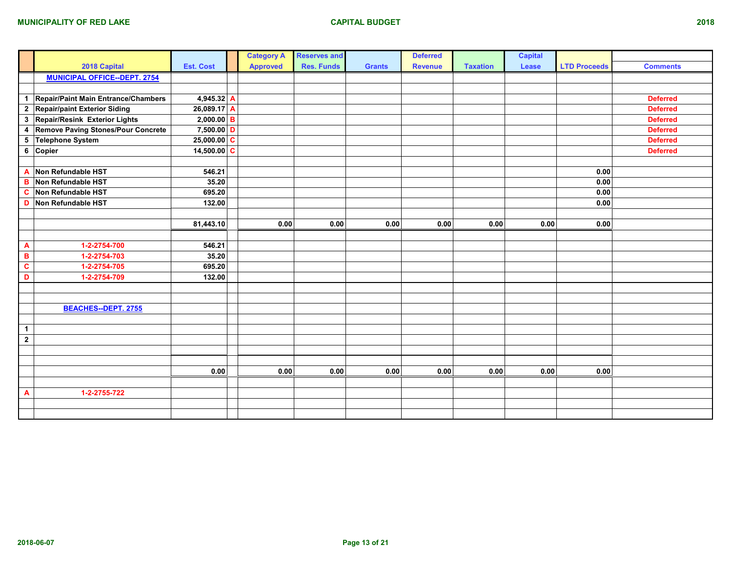|              |                                           |                  | <b>Category A</b> | <b>Reserves and</b> |               | <b>Deferred</b> |                 | <b>Capital</b> |                     |                 |
|--------------|-------------------------------------------|------------------|-------------------|---------------------|---------------|-----------------|-----------------|----------------|---------------------|-----------------|
|              | 2018 Capital                              | <b>Est. Cost</b> | <b>Approved</b>   | <b>Res. Funds</b>   | <b>Grants</b> | <b>Revenue</b>  | <b>Taxation</b> | Lease          | <b>LTD Proceeds</b> | <b>Comments</b> |
|              | <b>MUNICIPAL OFFICE--DEPT. 2754</b>       |                  |                   |                     |               |                 |                 |                |                     |                 |
|              |                                           |                  |                   |                     |               |                 |                 |                |                     |                 |
| $\mathbf{1}$ | Repair/Paint Main Entrance/Chambers       | 4,945.32 A       |                   |                     |               |                 |                 |                |                     | <b>Deferred</b> |
|              | 2 Repair/paint Exterior Siding            | $26,089.17$ A    |                   |                     |               |                 |                 |                |                     | <b>Deferred</b> |
|              | 3 Repair/Resink Exterior Lights           | $2,000.00$ B     |                   |                     |               |                 |                 |                |                     | <b>Deferred</b> |
| 4            | <b>Remove Paving Stones/Pour Concrete</b> | $7,500.00$ D     |                   |                     |               |                 |                 |                |                     | <b>Deferred</b> |
| 5            | Telephone System                          | $25,000.00$ C    |                   |                     |               |                 |                 |                |                     | <b>Deferred</b> |
|              | 6 Copier                                  | 14,500.00 $ C $  |                   |                     |               |                 |                 |                |                     | <b>Deferred</b> |
|              |                                           |                  |                   |                     |               |                 |                 |                |                     |                 |
| A            | Non Refundable HST                        | 546.21           |                   |                     |               |                 |                 |                | 0.00                |                 |
| $\, {\bf B}$ | Non Refundable HST                        | 35.20            |                   |                     |               |                 |                 |                | $0.00\,$            |                 |
| $\mathbf c$  | Non Refundable HST                        | 695.20           |                   |                     |               |                 |                 |                | 0.00                |                 |
| D            | Non Refundable HST                        | 132.00           |                   |                     |               |                 |                 |                | 0.00                |                 |
|              |                                           |                  |                   |                     |               |                 |                 |                |                     |                 |
|              |                                           | 81,443.10        | 0.00              | 0.00                | 0.00          | 0.00            | 0.00            | 0.00           | 0.00                |                 |
|              |                                           |                  |                   |                     |               |                 |                 |                |                     |                 |
| A            | 1-2-2754-700                              | 546.21           |                   |                     |               |                 |                 |                |                     |                 |
| $\, {\bf B}$ | 1-2-2754-703                              | 35.20            |                   |                     |               |                 |                 |                |                     |                 |
| $\mathbf{C}$ | 1-2-2754-705                              | 695.20           |                   |                     |               |                 |                 |                |                     |                 |
| D            | 1-2-2754-709                              | 132.00           |                   |                     |               |                 |                 |                |                     |                 |
|              |                                           |                  |                   |                     |               |                 |                 |                |                     |                 |
|              |                                           |                  |                   |                     |               |                 |                 |                |                     |                 |
|              | <b>BEACHES--DEPT. 2755</b>                |                  |                   |                     |               |                 |                 |                |                     |                 |
|              |                                           |                  |                   |                     |               |                 |                 |                |                     |                 |
| $\mathbf{1}$ |                                           |                  |                   |                     |               |                 |                 |                |                     |                 |
| $\mathbf{2}$ |                                           |                  |                   |                     |               |                 |                 |                |                     |                 |
|              |                                           |                  |                   |                     |               |                 |                 |                |                     |                 |
|              |                                           |                  |                   |                     |               |                 |                 |                |                     |                 |
|              |                                           | 0.00             | 0.00              | 0.00                | 0.00          | 0.00            | 0.00            | 0.00           | 0.00                |                 |
|              |                                           |                  |                   |                     |               |                 |                 |                |                     |                 |
| A            | 1-2-2755-722                              |                  |                   |                     |               |                 |                 |                |                     |                 |
|              |                                           |                  |                   |                     |               |                 |                 |                |                     |                 |
|              |                                           |                  |                   |                     |               |                 |                 |                |                     |                 |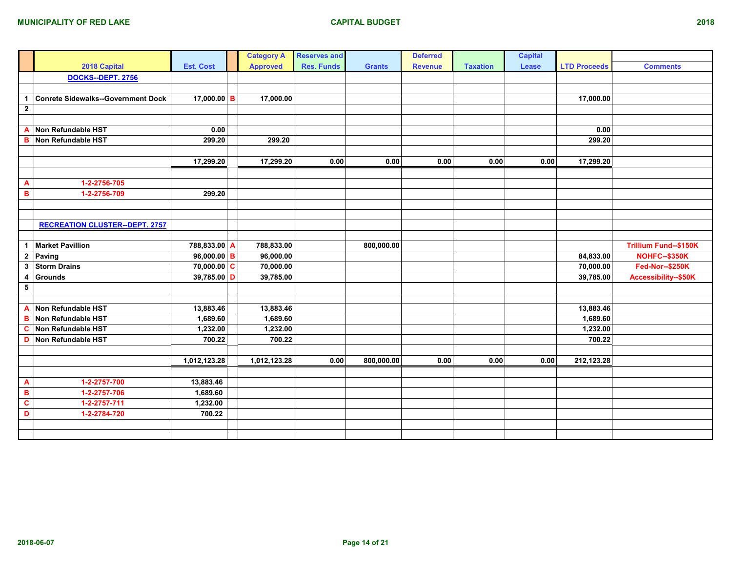|                      |                                       |                  | <b>Category A</b> | <b>Reserves and</b> |               | <b>Deferred</b> |                 | <b>Capital</b> |                     |                              |
|----------------------|---------------------------------------|------------------|-------------------|---------------------|---------------|-----------------|-----------------|----------------|---------------------|------------------------------|
|                      | 2018 Capital                          | <b>Est. Cost</b> | <b>Approved</b>   | <b>Res. Funds</b>   | <b>Grants</b> | <b>Revenue</b>  | <b>Taxation</b> | Lease          | <b>LTD Proceeds</b> | <b>Comments</b>              |
|                      | DOCKS--DEPT. 2756                     |                  |                   |                     |               |                 |                 |                |                     |                              |
|                      |                                       |                  |                   |                     |               |                 |                 |                |                     |                              |
| $\blacktriangleleft$ | Conrete Sidewalks--Government Dock    | 17,000.00 B      | 17,000.00         |                     |               |                 |                 |                | 17,000.00           |                              |
| $\mathbf{2}$         |                                       |                  |                   |                     |               |                 |                 |                |                     |                              |
|                      |                                       |                  |                   |                     |               |                 |                 |                |                     |                              |
| A                    | Non Refundable HST                    | 0.00             |                   |                     |               |                 |                 |                | 0.00                |                              |
| B                    | Non Refundable HST                    | 299.20           | 299.20            |                     |               |                 |                 |                | 299.20              |                              |
|                      |                                       |                  |                   |                     |               |                 |                 |                |                     |                              |
|                      |                                       | 17,299.20        | 17,299.20         | 0.00                | 0.00          | 0.00            | 0.00            | 0.00           | 17,299.20           |                              |
|                      |                                       |                  |                   |                     |               |                 |                 |                |                     |                              |
| A                    | 1-2-2756-705                          |                  |                   |                     |               |                 |                 |                |                     |                              |
| в                    | 1-2-2756-709                          | 299.20           |                   |                     |               |                 |                 |                |                     |                              |
|                      |                                       |                  |                   |                     |               |                 |                 |                |                     |                              |
|                      |                                       |                  |                   |                     |               |                 |                 |                |                     |                              |
|                      | <b>RECREATION CLUSTER--DEPT. 2757</b> |                  |                   |                     |               |                 |                 |                |                     |                              |
|                      |                                       |                  |                   |                     |               |                 |                 |                |                     |                              |
|                      | 1 Market Pavillion                    | 788,833.00 A     | 788,833.00        |                     | 800,000.00    |                 |                 |                |                     | <b>Trillium Fund--\$150K</b> |
|                      | 2 Paving                              | $96,000.00$ B    | 96,000.00         |                     |               |                 |                 |                | 84,833.00           | <b>NOHFC--\$350K</b>         |
| 3                    | <b>Storm Drains</b>                   | $70,000.00$ C    | 70,000.00         |                     |               |                 |                 |                | 70,000.00           | <b>Fed-Nor--\$250K</b>       |
| 4                    | Grounds                               | $39,785.00$ D    | 39,785.00         |                     |               |                 |                 |                | 39,785.00           | Accessibility--\$50K         |
| $\sqrt{5}$           |                                       |                  |                   |                     |               |                 |                 |                |                     |                              |
|                      |                                       |                  |                   |                     |               |                 |                 |                |                     |                              |
| A                    | Non Refundable HST                    | 13,883.46        | 13,883.46         |                     |               |                 |                 |                | 13,883.46           |                              |
| B                    | Non Refundable HST                    | 1,689.60         | 1,689.60          |                     |               |                 |                 |                | 1,689.60            |                              |
| C                    | Non Refundable HST                    | 1,232.00         | 1,232.00          |                     |               |                 |                 |                | 1,232.00            |                              |
| D                    | Non Refundable HST                    | 700.22           | 700.22            |                     |               |                 |                 |                | 700.22              |                              |
|                      |                                       |                  |                   |                     |               |                 |                 |                |                     |                              |
|                      |                                       | 1,012,123.28     | 1,012,123.28      | 0.00                | 800,000.00    | 0.00            | 0.00            | 0.00           | 212,123.28          |                              |
|                      |                                       |                  |                   |                     |               |                 |                 |                |                     |                              |
| A                    | 1-2-2757-700                          | 13,883.46        |                   |                     |               |                 |                 |                |                     |                              |
| в                    | 1-2-2757-706                          | 1,689.60         |                   |                     |               |                 |                 |                |                     |                              |
| $\mathbf{c}$         | 1-2-2757-711                          | 1,232.00         |                   |                     |               |                 |                 |                |                     |                              |
| D                    | 1-2-2784-720                          | 700.22           |                   |                     |               |                 |                 |                |                     |                              |
|                      |                                       |                  |                   |                     |               |                 |                 |                |                     |                              |
|                      |                                       |                  |                   |                     |               |                 |                 |                |                     |                              |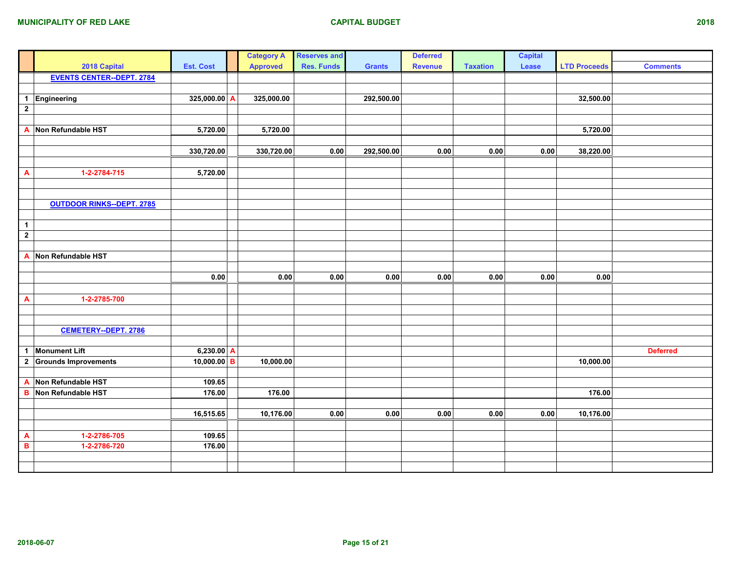|                                 |                                  |                  | <b>Category A</b> | <b>Reserves and</b> |               | <b>Deferred</b> |                 | <b>Capital</b> |                     |                 |
|---------------------------------|----------------------------------|------------------|-------------------|---------------------|---------------|-----------------|-----------------|----------------|---------------------|-----------------|
|                                 | 2018 Capital                     | <b>Est. Cost</b> | <b>Approved</b>   | <b>Res. Funds</b>   | <b>Grants</b> | <b>Revenue</b>  | <b>Taxation</b> | Lease          | <b>LTD Proceeds</b> | <b>Comments</b> |
|                                 | <b>EVENTS CENTER--DEPT. 2784</b> |                  |                   |                     |               |                 |                 |                |                     |                 |
|                                 |                                  |                  |                   |                     |               |                 |                 |                |                     |                 |
| $\mathbf{1}$                    | Engineering                      | 325,000.00 A     | 325,000.00        |                     | 292,500.00    |                 |                 |                | 32,500.00           |                 |
| $\overline{2}$                  |                                  |                  |                   |                     |               |                 |                 |                |                     |                 |
|                                 |                                  |                  |                   |                     |               |                 |                 |                |                     |                 |
| $\overline{\mathbf{A}}$         | Non Refundable HST               | 5,720.00         | 5,720.00          |                     |               |                 |                 |                | 5,720.00            |                 |
|                                 |                                  |                  |                   |                     |               |                 |                 |                |                     |                 |
|                                 |                                  | 330,720.00       | 330,720.00        | $0.00\,$            | 292,500.00    | $0.00\,$        | 0.00            | 0.00           | 38,220.00           |                 |
|                                 |                                  |                  |                   |                     |               |                 |                 |                |                     |                 |
| $\overline{\mathbf{A}}$         | 1-2-2784-715                     | 5,720.00         |                   |                     |               |                 |                 |                |                     |                 |
|                                 |                                  |                  |                   |                     |               |                 |                 |                |                     |                 |
|                                 |                                  |                  |                   |                     |               |                 |                 |                |                     |                 |
|                                 | <b>OUTDOOR RINKS--DEPT. 2785</b> |                  |                   |                     |               |                 |                 |                |                     |                 |
|                                 |                                  |                  |                   |                     |               |                 |                 |                |                     |                 |
| $\mathbf{1}$                    |                                  |                  |                   |                     |               |                 |                 |                |                     |                 |
| $\overline{2}$                  |                                  |                  |                   |                     |               |                 |                 |                |                     |                 |
|                                 |                                  |                  |                   |                     |               |                 |                 |                |                     |                 |
|                                 | A Non Refundable HST             |                  |                   |                     |               |                 |                 |                |                     |                 |
|                                 |                                  |                  |                   |                     |               |                 |                 |                |                     |                 |
|                                 |                                  | 0.00             | 0.00              | $0.00\,$            | $0.00\,$      | 0.00            | 0.00            | $0.00\,$       | 0.00                |                 |
|                                 |                                  |                  |                   |                     |               |                 |                 |                |                     |                 |
| $\boldsymbol{\mathsf{A}}$       | 1-2-2785-700                     |                  |                   |                     |               |                 |                 |                |                     |                 |
|                                 |                                  |                  |                   |                     |               |                 |                 |                |                     |                 |
|                                 |                                  |                  |                   |                     |               |                 |                 |                |                     |                 |
|                                 | <b>CEMETERY--DEPT. 2786</b>      |                  |                   |                     |               |                 |                 |                |                     |                 |
|                                 |                                  |                  |                   |                     |               |                 |                 |                |                     |                 |
| $\blacktriangleleft$            | <b>Monument Lift</b>             | $6,230.00$ A     |                   |                     |               |                 |                 |                |                     | <b>Deferred</b> |
| $\overline{\mathbf{2}}$         | <b>Grounds Improvements</b>      | $10,000.00$ B    | 10,000.00         |                     |               |                 |                 |                | 10,000.00           |                 |
|                                 |                                  |                  |                   |                     |               |                 |                 |                |                     |                 |
| $\mathbf{A}$                    | Non Refundable HST               | 109.65           |                   |                     |               |                 |                 |                |                     |                 |
| $\overline{\mathbf{B}}$         | Non Refundable HST               | 176.00           | 176.00            |                     |               |                 |                 |                | 176.00              |                 |
|                                 |                                  |                  |                   |                     |               |                 |                 |                |                     |                 |
|                                 |                                  | 16,515.65        | 10,176.00         | 0.00                | 0.00          | 0.00            | 0.00            | 0.00           | 10,176.00           |                 |
|                                 |                                  |                  |                   |                     |               |                 |                 |                |                     |                 |
| $\frac{\mathsf{A}}{\mathsf{B}}$ | 1-2-2786-705                     | 109.65           |                   |                     |               |                 |                 |                |                     |                 |
|                                 | 1-2-2786-720                     | 176.00           |                   |                     |               |                 |                 |                |                     |                 |
|                                 |                                  |                  |                   |                     |               |                 |                 |                |                     |                 |
|                                 |                                  |                  |                   |                     |               |                 |                 |                |                     |                 |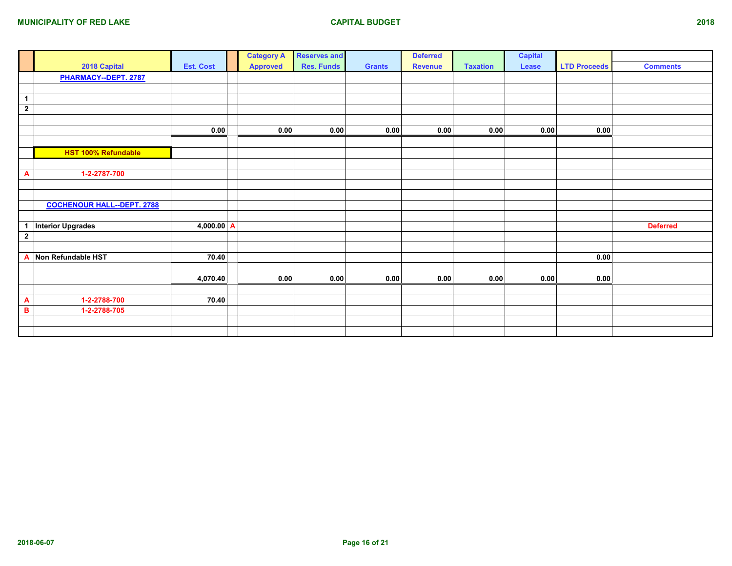|                      |                                   |                  | <b>Category A</b> | <b>Reserves and</b> |               | <b>Deferred</b> |                 | <b>Capital</b> |                     |                 |
|----------------------|-----------------------------------|------------------|-------------------|---------------------|---------------|-----------------|-----------------|----------------|---------------------|-----------------|
|                      | 2018 Capital                      | <b>Est. Cost</b> | <b>Approved</b>   | <b>Res. Funds</b>   | <b>Grants</b> | <b>Revenue</b>  | <b>Taxation</b> | Lease          | <b>LTD Proceeds</b> | <b>Comments</b> |
|                      | PHARMACY--DEPT. 2787              |                  |                   |                     |               |                 |                 |                |                     |                 |
|                      |                                   |                  |                   |                     |               |                 |                 |                |                     |                 |
| $\blacktriangleleft$ |                                   |                  |                   |                     |               |                 |                 |                |                     |                 |
| $\overline{2}$       |                                   |                  |                   |                     |               |                 |                 |                |                     |                 |
|                      |                                   |                  |                   |                     |               |                 |                 |                |                     |                 |
|                      |                                   | 0.00             | 0.00              | 0.00                | 0.00          | 0.00            | 0.00            | 0.00           | 0.00                |                 |
|                      |                                   |                  |                   |                     |               |                 |                 |                |                     |                 |
|                      | HST 100% Refundable               |                  |                   |                     |               |                 |                 |                |                     |                 |
|                      |                                   |                  |                   |                     |               |                 |                 |                |                     |                 |
| A                    | 1-2-2787-700                      |                  |                   |                     |               |                 |                 |                |                     |                 |
|                      |                                   |                  |                   |                     |               |                 |                 |                |                     |                 |
|                      |                                   |                  |                   |                     |               |                 |                 |                |                     |                 |
|                      | <b>COCHENOUR HALL--DEPT. 2788</b> |                  |                   |                     |               |                 |                 |                |                     |                 |
|                      |                                   |                  |                   |                     |               |                 |                 |                |                     |                 |
| 1                    | <b>Interior Upgrades</b>          | 4,000.00 A       |                   |                     |               |                 |                 |                |                     | <b>Deferred</b> |
| $\mathbf{2}$         |                                   |                  |                   |                     |               |                 |                 |                |                     |                 |
|                      |                                   |                  |                   |                     |               |                 |                 |                |                     |                 |
| A                    | Non Refundable HST                | 70.40            |                   |                     |               |                 |                 |                | 0.00                |                 |
|                      |                                   |                  |                   |                     |               |                 |                 |                |                     |                 |
|                      |                                   | 4,070.40         | 0.00              | 0.00                | 0.00          | 0.00            | 0.00            | 0.00           | 0.00                |                 |
|                      |                                   |                  |                   |                     |               |                 |                 |                |                     |                 |
| A                    | 1-2-2788-700                      | 70.40            |                   |                     |               |                 |                 |                |                     |                 |
| B                    | 1-2-2788-705                      |                  |                   |                     |               |                 |                 |                |                     |                 |
|                      |                                   |                  |                   |                     |               |                 |                 |                |                     |                 |
|                      |                                   |                  |                   |                     |               |                 |                 |                |                     |                 |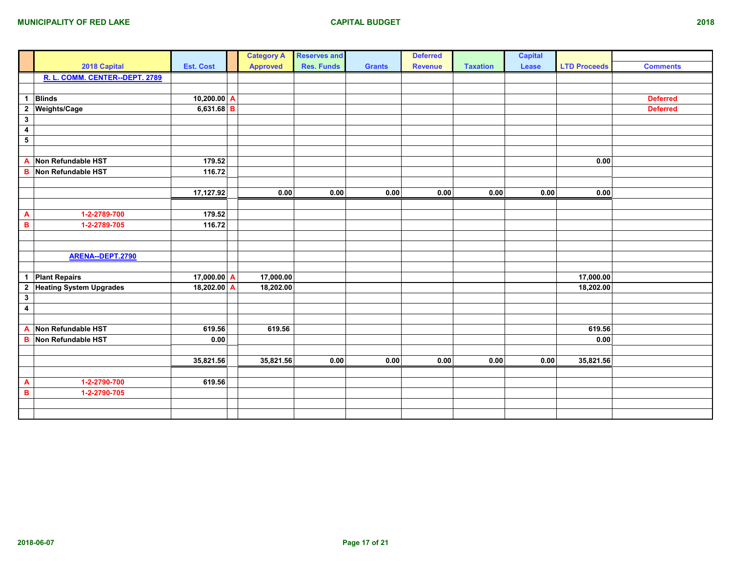|                         |                                |                  |   | <b>Category A</b> | <b>Reserves and</b> |               | <b>Deferred</b> |                 | <b>Capital</b> |                     |                 |
|-------------------------|--------------------------------|------------------|---|-------------------|---------------------|---------------|-----------------|-----------------|----------------|---------------------|-----------------|
|                         | 2018 Capital                   | <b>Est. Cost</b> |   | <b>Approved</b>   | <b>Res. Funds</b>   | <b>Grants</b> | <b>Revenue</b>  | <b>Taxation</b> | Lease          | <b>LTD Proceeds</b> | <b>Comments</b> |
|                         | R. L. COMM. CENTER--DEPT. 2789 |                  |   |                   |                     |               |                 |                 |                |                     |                 |
|                         |                                |                  |   |                   |                     |               |                 |                 |                |                     |                 |
|                         | 1 Blinds                       | $10,200.00$ A    |   |                   |                     |               |                 |                 |                |                     | <b>Deferred</b> |
|                         | 2 Weights/Cage                 | $6,631.68$ B     |   |                   |                     |               |                 |                 |                |                     | <b>Deferred</b> |
| $\mathbf{3}$            |                                |                  |   |                   |                     |               |                 |                 |                |                     |                 |
| $\overline{\mathbf{4}}$ |                                |                  |   |                   |                     |               |                 |                 |                |                     |                 |
| ${\bf 5}$               |                                |                  |   |                   |                     |               |                 |                 |                |                     |                 |
|                         |                                |                  |   |                   |                     |               |                 |                 |                |                     |                 |
| A                       | Non Refundable HST             | 179.52           |   |                   |                     |               |                 |                 |                | 0.00                |                 |
| в                       | Non Refundable HST             | 116.72           |   |                   |                     |               |                 |                 |                |                     |                 |
|                         |                                |                  |   |                   |                     |               |                 |                 |                |                     |                 |
|                         |                                | 17,127.92        |   | 0.00              | 0.00                | 0.00          | 0.00            | 0.00            | 0.00           | 0.00                |                 |
|                         |                                |                  |   |                   |                     |               |                 |                 |                |                     |                 |
| A                       | 1-2-2789-700                   | 179.52           |   |                   |                     |               |                 |                 |                |                     |                 |
| B                       | 1-2-2789-705                   | 116.72           |   |                   |                     |               |                 |                 |                |                     |                 |
|                         |                                |                  |   |                   |                     |               |                 |                 |                |                     |                 |
|                         |                                |                  |   |                   |                     |               |                 |                 |                |                     |                 |
|                         | ARENA--DEPT.2790               |                  |   |                   |                     |               |                 |                 |                |                     |                 |
|                         |                                |                  |   |                   |                     |               |                 |                 |                |                     |                 |
|                         | 1 Plant Repairs                | 17,000.00        | A | 17,000.00         |                     |               |                 |                 |                | 17,000.00           |                 |
|                         | 2 Heating System Upgrades      | 18,202.00        | Α | 18,202.00         |                     |               |                 |                 |                | 18,202.00           |                 |
| $\mathbf{3}$            |                                |                  |   |                   |                     |               |                 |                 |                |                     |                 |
| $\overline{\mathbf{4}}$ |                                |                  |   |                   |                     |               |                 |                 |                |                     |                 |
|                         |                                |                  |   |                   |                     |               |                 |                 |                |                     |                 |
| A                       | Non Refundable HST             | 619.56           |   | 619.56            |                     |               |                 |                 |                | 619.56              |                 |
| B                       | Non Refundable HST             | $0.00\,$         |   |                   |                     |               |                 |                 |                | 0.00                |                 |
|                         |                                |                  |   |                   |                     |               |                 |                 |                |                     |                 |
|                         |                                | 35,821.56        |   | 35,821.56         | $0.00\,$            | 0.00          | 0.00            | 0.00            | 0.00           | 35,821.56           |                 |
|                         |                                |                  |   |                   |                     |               |                 |                 |                |                     |                 |
| A                       | 1-2-2790-700                   | 619.56           |   |                   |                     |               |                 |                 |                |                     |                 |
| B                       | 1-2-2790-705                   |                  |   |                   |                     |               |                 |                 |                |                     |                 |
|                         |                                |                  |   |                   |                     |               |                 |                 |                |                     |                 |
|                         |                                |                  |   |                   |                     |               |                 |                 |                |                     |                 |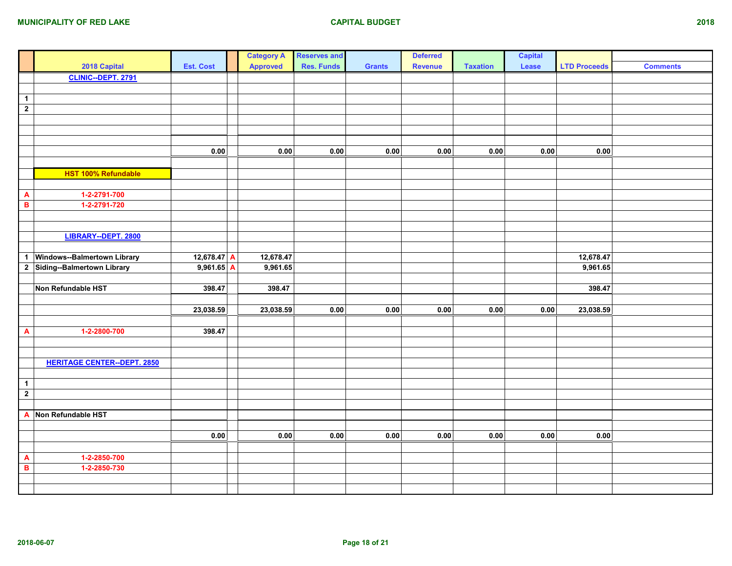|                           |                                    |                  | <b>Category A</b> | <b>Reserves and</b> |               | <b>Deferred</b> |                 | <b>Capital</b> |                     |                 |
|---------------------------|------------------------------------|------------------|-------------------|---------------------|---------------|-----------------|-----------------|----------------|---------------------|-----------------|
|                           | 2018 Capital                       | <b>Est. Cost</b> | <b>Approved</b>   | <b>Res. Funds</b>   | <b>Grants</b> | <b>Revenue</b>  | <b>Taxation</b> | Lease          | <b>LTD Proceeds</b> | <b>Comments</b> |
|                           | CLINIC--DEPT. 2791                 |                  |                   |                     |               |                 |                 |                |                     |                 |
|                           |                                    |                  |                   |                     |               |                 |                 |                |                     |                 |
| $\overline{1}$            |                                    |                  |                   |                     |               |                 |                 |                |                     |                 |
| $\overline{\mathbf{2}}$   |                                    |                  |                   |                     |               |                 |                 |                |                     |                 |
|                           |                                    |                  |                   |                     |               |                 |                 |                |                     |                 |
|                           |                                    |                  |                   |                     |               |                 |                 |                |                     |                 |
|                           |                                    |                  |                   |                     |               |                 |                 |                |                     |                 |
|                           |                                    | 0.00             | $0.00\,$          | $0.00\,$            | $0.00\,$      | $0.00\,$        | $0.00\,$        | 0.00           | 0.00                |                 |
|                           |                                    |                  |                   |                     |               |                 |                 |                |                     |                 |
|                           | HST 100% Refundable                |                  |                   |                     |               |                 |                 |                |                     |                 |
|                           |                                    |                  |                   |                     |               |                 |                 |                |                     |                 |
| $\boldsymbol{\mathsf{A}}$ | 1-2-2791-700                       |                  |                   |                     |               |                 |                 |                |                     |                 |
| $\, {\bf B}$              | 1-2-2791-720                       |                  |                   |                     |               |                 |                 |                |                     |                 |
|                           |                                    |                  |                   |                     |               |                 |                 |                |                     |                 |
|                           |                                    |                  |                   |                     |               |                 |                 |                |                     |                 |
|                           | LIBRARY--DEPT. 2800                |                  |                   |                     |               |                 |                 |                |                     |                 |
|                           |                                    |                  |                   |                     |               |                 |                 |                |                     |                 |
| $\mathbf{1}$              | Windows--Balmertown Library        | 12,678.47 A      | 12,678.47         |                     |               |                 |                 |                | 12,678.47           |                 |
|                           | 2 Siding--Balmertown Library       | $9,961.65$ A     | 9,961.65          |                     |               |                 |                 |                | 9,961.65            |                 |
|                           |                                    |                  |                   |                     |               |                 |                 |                |                     |                 |
|                           | Non Refundable HST                 | 398.47           | 398.47            |                     |               |                 |                 |                | 398.47              |                 |
|                           |                                    |                  |                   |                     |               |                 |                 |                |                     |                 |
|                           |                                    | 23,038.59        | 23,038.59         | $0.00\,$            | $0.00\,$      | $0.00\,$        | 0.00            | $0.00\,$       | 23,038.59           |                 |
|                           |                                    |                  |                   |                     |               |                 |                 |                |                     |                 |
| $\boldsymbol{\mathsf{A}}$ | 1-2-2800-700                       | 398.47           |                   |                     |               |                 |                 |                |                     |                 |
|                           |                                    |                  |                   |                     |               |                 |                 |                |                     |                 |
|                           |                                    |                  |                   |                     |               |                 |                 |                |                     |                 |
|                           | <b>HERITAGE CENTER--DEPT. 2850</b> |                  |                   |                     |               |                 |                 |                |                     |                 |
|                           |                                    |                  |                   |                     |               |                 |                 |                |                     |                 |
| $\mathbf{1}$              |                                    |                  |                   |                     |               |                 |                 |                |                     |                 |
| $\overline{2}$            |                                    |                  |                   |                     |               |                 |                 |                |                     |                 |
|                           |                                    |                  |                   |                     |               |                 |                 |                |                     |                 |
|                           | A Non Refundable HST               |                  |                   |                     |               |                 |                 |                |                     |                 |
|                           |                                    |                  |                   |                     |               |                 |                 |                |                     |                 |
|                           |                                    | 0.00             | 0.00              | $0.00\,$            | $\bf 0.00$    | $0.00\,$        | $0.00\,$        | 0.00           | 0.00                |                 |
|                           |                                    |                  |                   |                     |               |                 |                 |                |                     |                 |
| A                         | 1-2-2850-700                       |                  |                   |                     |               |                 |                 |                |                     |                 |
| $\overline{\mathbf{B}}$   | 1-2-2850-730                       |                  |                   |                     |               |                 |                 |                |                     |                 |
|                           |                                    |                  |                   |                     |               |                 |                 |                |                     |                 |
|                           |                                    |                  |                   |                     |               |                 |                 |                |                     |                 |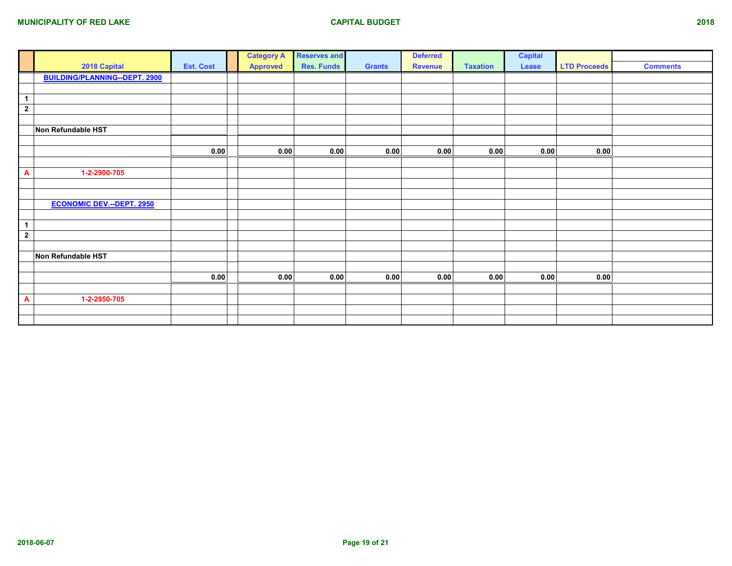|                         |                                      |                  | <b>Category A</b> | <b>Reserves and</b> |               | <b>Deferred</b> |                 | <b>Capital</b> |                     |                 |
|-------------------------|--------------------------------------|------------------|-------------------|---------------------|---------------|-----------------|-----------------|----------------|---------------------|-----------------|
|                         | 2018 Capital                         | <b>Est. Cost</b> | <b>Approved</b>   | <b>Res. Funds</b>   | <b>Grants</b> | <b>Revenue</b>  | <b>Taxation</b> | Lease          | <b>LTD Proceeds</b> | <b>Comments</b> |
|                         | <b>BUILDING/PLANNING--DEPT. 2900</b> |                  |                   |                     |               |                 |                 |                |                     |                 |
|                         |                                      |                  |                   |                     |               |                 |                 |                |                     |                 |
| $\overline{1}$          |                                      |                  |                   |                     |               |                 |                 |                |                     |                 |
| $\overline{\mathbf{2}}$ |                                      |                  |                   |                     |               |                 |                 |                |                     |                 |
|                         |                                      |                  |                   |                     |               |                 |                 |                |                     |                 |
|                         | Non Refundable HST                   |                  |                   |                     |               |                 |                 |                |                     |                 |
|                         |                                      |                  |                   |                     |               |                 |                 |                |                     |                 |
|                         |                                      | 0.00             | 0.00              | 0.00                | 0.00          | 0.00            | 0.00            | 0.00           | 0.00                |                 |
|                         |                                      |                  |                   |                     |               |                 |                 |                |                     |                 |
| A                       | 1-2-2900-705                         |                  |                   |                     |               |                 |                 |                |                     |                 |
|                         |                                      |                  |                   |                     |               |                 |                 |                |                     |                 |
|                         |                                      |                  |                   |                     |               |                 |                 |                |                     |                 |
|                         | <b>ECONOMIC DEV.--DEPT. 2950</b>     |                  |                   |                     |               |                 |                 |                |                     |                 |
|                         |                                      |                  |                   |                     |               |                 |                 |                |                     |                 |
| $\overline{1}$          |                                      |                  |                   |                     |               |                 |                 |                |                     |                 |
| $\overline{2}$          |                                      |                  |                   |                     |               |                 |                 |                |                     |                 |
|                         |                                      |                  |                   |                     |               |                 |                 |                |                     |                 |
|                         | Non Refundable HST                   |                  |                   |                     |               |                 |                 |                |                     |                 |
|                         |                                      |                  |                   |                     |               |                 |                 |                |                     |                 |
|                         |                                      | 0.00             | 0.00              | 0.00                | 0.00          | 0.00            | 0.00            | 0.00           | 0.00                |                 |
|                         |                                      |                  |                   |                     |               |                 |                 |                |                     |                 |
| $\mathbf{A}$            | 1-2-2950-705                         |                  |                   |                     |               |                 |                 |                |                     |                 |
|                         |                                      |                  |                   |                     |               |                 |                 |                |                     |                 |
|                         |                                      |                  |                   |                     |               |                 |                 |                |                     |                 |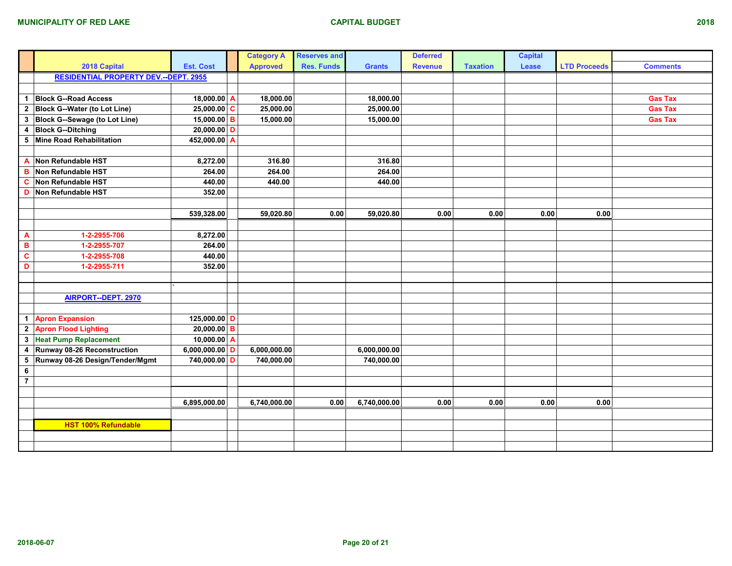|                         |                                              |                  | <b>Category A</b> | <b>Reserves and</b> |               | <b>Deferred</b> |                 | <b>Capital</b> |                     |                 |
|-------------------------|----------------------------------------------|------------------|-------------------|---------------------|---------------|-----------------|-----------------|----------------|---------------------|-----------------|
|                         | 2018 Capital                                 | <b>Est. Cost</b> | <b>Approved</b>   | <b>Res. Funds</b>   | <b>Grants</b> | <b>Revenue</b>  | <b>Taxation</b> | Lease          | <b>LTD Proceeds</b> | <b>Comments</b> |
|                         | <b>RESIDENTIAL PROPERTY DEV.--DEPT. 2955</b> |                  |                   |                     |               |                 |                 |                |                     |                 |
|                         |                                              |                  |                   |                     |               |                 |                 |                |                     |                 |
| $\mathbf{1}$            | <b>Block G--Road Access</b>                  | 18,000.00 A      | 18,000.00         |                     | 18,000.00     |                 |                 |                |                     | <b>Gas Tax</b>  |
| $\overline{2}$          | <b>Block G--Water (to Lot Line)</b>          | $25,000.00$ C    | 25,000.00         |                     | 25,000.00     |                 |                 |                |                     | <b>Gas Tax</b>  |
| 3                       | Block G--Sewage (to Lot Line)                | $15,000.00$ B    | 15,000.00         |                     | 15,000.00     |                 |                 |                |                     | <b>Gas Tax</b>  |
| 4                       | <b>Block G--Ditching</b>                     | $20,000.00$ D    |                   |                     |               |                 |                 |                |                     |                 |
| 5                       | Mine Road Rehabilitation                     | 452,000.00 A     |                   |                     |               |                 |                 |                |                     |                 |
|                         |                                              |                  |                   |                     |               |                 |                 |                |                     |                 |
| A                       | Non Refundable HST                           | 8,272.00         | 316.80            |                     | 316.80        |                 |                 |                |                     |                 |
| в                       | Non Refundable HST                           | 264.00           | 264.00            |                     | 264.00        |                 |                 |                |                     |                 |
| C                       | Non Refundable HST                           | 440.00           | 440.00            |                     | 440.00        |                 |                 |                |                     |                 |
| D                       | Non Refundable HST                           | 352.00           |                   |                     |               |                 |                 |                |                     |                 |
|                         |                                              |                  |                   |                     |               |                 |                 |                |                     |                 |
|                         |                                              | 539,328.00       | 59,020.80         | 0.00                | 59,020.80     | 0.00            | 0.00            | 0.00           | 0.00                |                 |
|                         |                                              |                  |                   |                     |               |                 |                 |                |                     |                 |
| $\overline{\mathbf{A}}$ | 1-2-2955-706                                 | 8,272.00         |                   |                     |               |                 |                 |                |                     |                 |
| B                       | 1-2-2955-707                                 | 264.00           |                   |                     |               |                 |                 |                |                     |                 |
| $\overline{\mathbf{c}}$ | 1-2-2955-708                                 | 440.00           |                   |                     |               |                 |                 |                |                     |                 |
| D                       | 1-2-2955-711                                 | 352.00           |                   |                     |               |                 |                 |                |                     |                 |
|                         |                                              |                  |                   |                     |               |                 |                 |                |                     |                 |
|                         |                                              |                  |                   |                     |               |                 |                 |                |                     |                 |
|                         | AIRPORT--DEPT. 2970                          |                  |                   |                     |               |                 |                 |                |                     |                 |
|                         |                                              |                  |                   |                     |               |                 |                 |                |                     |                 |
|                         | 1 Apron Expansion                            | 125,000.00 D     |                   |                     |               |                 |                 |                |                     |                 |
| $\boldsymbol{2}$        | <b>Apron Flood Lighting</b>                  | $20,000.00$ B    |                   |                     |               |                 |                 |                |                     |                 |
| $\mathbf 3$             | <b>Heat Pump Replacement</b>                 | 10,000.00 $ A$   |                   |                     |               |                 |                 |                |                     |                 |
| $\overline{\mathbf{4}}$ | Runway 08-26 Reconstruction                  | 6,000,000.00 D   | 6,000,000.00      |                     | 6,000,000.00  |                 |                 |                |                     |                 |
| 5                       | Runway 08-26 Design/Tender/Mgmt              | 740,000.00 D     | 740,000.00        |                     | 740,000.00    |                 |                 |                |                     |                 |
| 6                       |                                              |                  |                   |                     |               |                 |                 |                |                     |                 |
| $\overline{7}$          |                                              |                  |                   |                     |               |                 |                 |                |                     |                 |
|                         |                                              |                  |                   |                     |               |                 |                 |                |                     |                 |
|                         |                                              | 6,895,000.00     | 6,740,000.00      | 0.00                | 6,740,000.00  | 0.00            | 0.00            | 0.00           | 0.00                |                 |
|                         |                                              |                  |                   |                     |               |                 |                 |                |                     |                 |
|                         | <b>HST 100% Refundable</b>                   |                  |                   |                     |               |                 |                 |                |                     |                 |
|                         |                                              |                  |                   |                     |               |                 |                 |                |                     |                 |
|                         |                                              |                  |                   |                     |               |                 |                 |                |                     |                 |